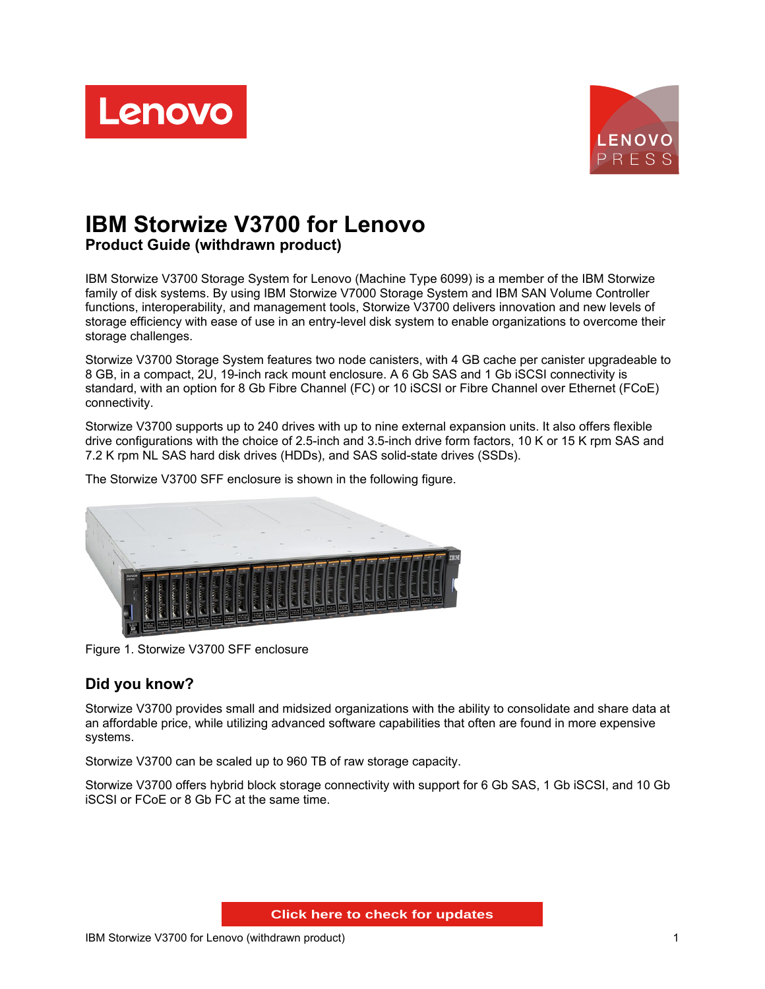



# **IBM Storwize V3700 for Lenovo Product Guide (withdrawn product)**

IBM Storwize V3700 Storage System for Lenovo (Machine Type 6099) is a member of the IBM Storwize family of disk systems. By using IBM Storwize V7000 Storage System and IBM SAN Volume Controller functions, interoperability, and management tools, Storwize V3700 delivers innovation and new levels of storage efficiency with ease of use in an entry-level disk system to enable organizations to overcome their storage challenges.

Storwize V3700 Storage System features two node canisters, with 4 GB cache per canister upgradeable to 8 GB, in a compact, 2U, 19-inch rack mount enclosure. A 6 Gb SAS and 1 Gb iSCSI connectivity is standard, with an option for 8 Gb Fibre Channel (FC) or 10 iSCSI or Fibre Channel over Ethernet (FCoE) connectivity.

Storwize V3700 supports up to 240 drives with up to nine external expansion units. It also offers flexible drive configurations with the choice of 2.5-inch and 3.5-inch drive form factors, 10 K or 15 K rpm SAS and 7.2 K rpm NL SAS hard disk drives (HDDs), and SAS solid-state drives (SSDs).



The Storwize V3700 SFF enclosure is shown in the following figure.

Figure 1. Storwize V3700 SFF enclosure

## **Did you know?**

Storwize V3700 provides small and midsized organizations with the ability to consolidate and share data at an affordable price, while utilizing advanced software capabilities that often are found in more expensive systems.

Storwize V3700 can be scaled up to 960 TB of raw storage capacity.

Storwize V3700 offers hybrid block storage connectivity with support for 6 Gb SAS, 1 Gb iSCSI, and 10 Gb iSCSI or FCoE or 8 Gb FC at the same time.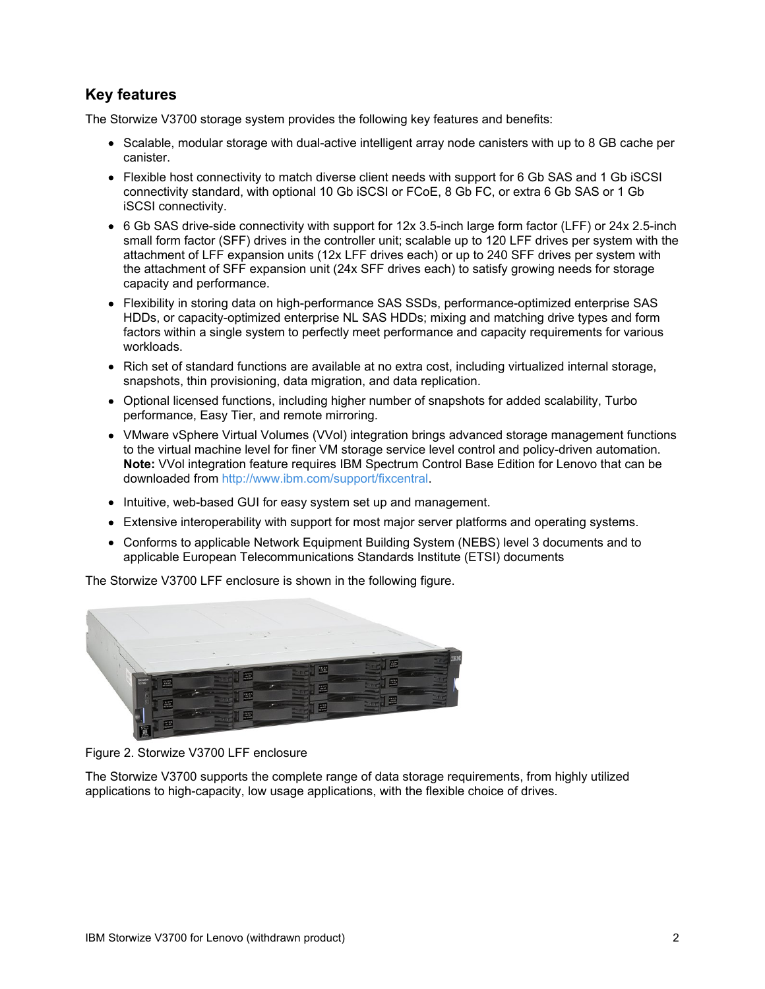## **Key features**

The Storwize V3700 storage system provides the following key features and benefits:

- Scalable, modular storage with dual-active intelligent array node canisters with up to 8 GB cache per canister.
- Flexible host connectivity to match diverse client needs with support for 6 Gb SAS and 1 Gb iSCSI connectivity standard, with optional 10 Gb iSCSI or FCoE, 8 Gb FC, or extra 6 Gb SAS or 1 Gb iSCSI connectivity.
- 6 Gb SAS drive-side connectivity with support for 12x 3.5-inch large form factor (LFF) or 24x 2.5-inch small form factor (SFF) drives in the controller unit; scalable up to 120 LFF drives per system with the attachment of LFF expansion units (12x LFF drives each) or up to 240 SFF drives per system with the attachment of SFF expansion unit (24x SFF drives each) to satisfy growing needs for storage capacity and performance.
- Flexibility in storing data on high-performance SAS SSDs, performance-optimized enterprise SAS HDDs, or capacity-optimized enterprise NL SAS HDDs; mixing and matching drive types and form factors within a single system to perfectly meet performance and capacity requirements for various workloads.
- Rich set of standard functions are available at no extra cost, including virtualized internal storage, snapshots, thin provisioning, data migration, and data replication.
- Optional licensed functions, including higher number of snapshots for added scalability, Turbo performance, Easy Tier, and remote mirroring.
- VMware vSphere Virtual Volumes (VVol) integration brings advanced storage management functions to the virtual machine level for finer VM storage service level control and policy-driven automation. **Note:** VVol integration feature requires IBM Spectrum Control Base Edition for Lenovo that can be downloaded from <http://www.ibm.com/support/fixcentral>.
- Intuitive, web-based GUI for easy system set up and management.
- Extensive interoperability with support for most major server platforms and operating systems.
- Conforms to applicable Network Equipment Building System (NEBS) level 3 documents and to applicable European Telecommunications Standards Institute (ETSI) documents

The Storwize V3700 LFF enclosure is shown in the following figure.





The Storwize V3700 supports the complete range of data storage requirements, from highly utilized applications to high-capacity, low usage applications, with the flexible choice of drives.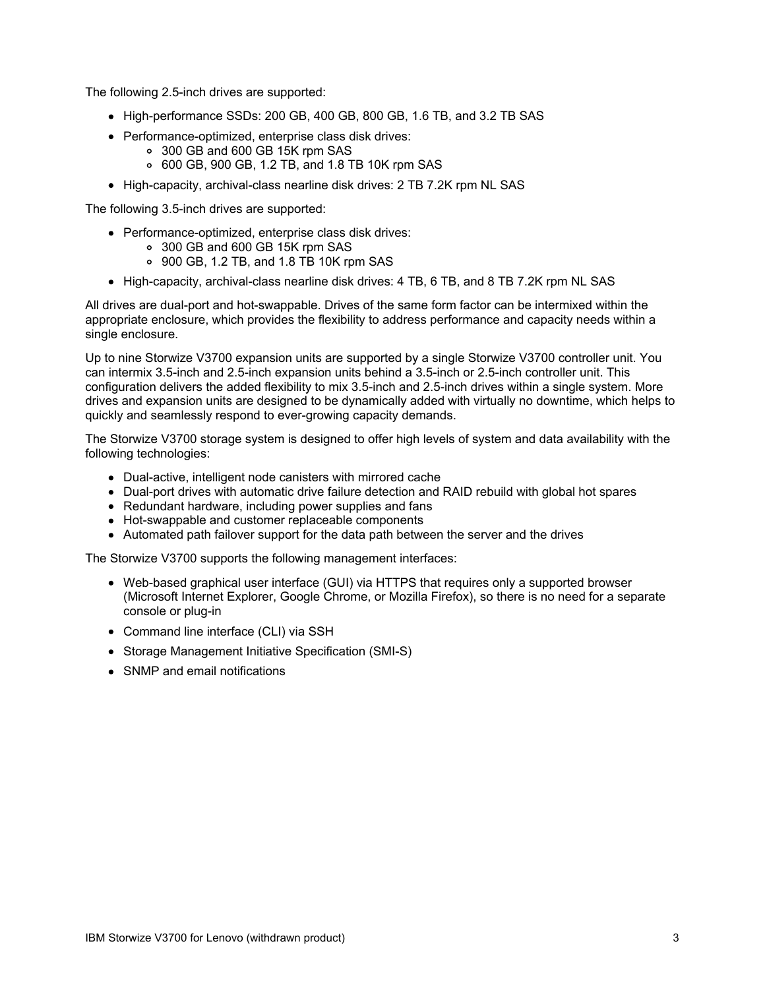The following 2.5-inch drives are supported:

- High-performance SSDs: 200 GB, 400 GB, 800 GB, 1.6 TB, and 3.2 TB SAS
- Performance-optimized, enterprise class disk drives:
	- 300 GB and 600 GB 15K rpm SAS
	- 600 GB, 900 GB, 1.2 TB, and 1.8 TB 10K rpm SAS
- High-capacity, archival-class nearline disk drives: 2 TB 7.2K rpm NL SAS

The following 3.5-inch drives are supported:

- Performance-optimized, enterprise class disk drives:
	- 300 GB and 600 GB 15K rpm SAS
	- 900 GB, 1.2 TB, and 1.8 TB 10K rpm SAS
- High-capacity, archival-class nearline disk drives: 4 TB, 6 TB, and 8 TB 7.2K rpm NL SAS

All drives are dual-port and hot-swappable. Drives of the same form factor can be intermixed within the appropriate enclosure, which provides the flexibility to address performance and capacity needs within a single enclosure.

Up to nine Storwize V3700 expansion units are supported by a single Storwize V3700 controller unit. You can intermix 3.5-inch and 2.5-inch expansion units behind a 3.5-inch or 2.5-inch controller unit. This configuration delivers the added flexibility to mix 3.5-inch and 2.5-inch drives within a single system. More drives and expansion units are designed to be dynamically added with virtually no downtime, which helps to quickly and seamlessly respond to ever-growing capacity demands.

The Storwize V3700 storage system is designed to offer high levels of system and data availability with the following technologies:

- Dual-active, intelligent node canisters with mirrored cache
- Dual-port drives with automatic drive failure detection and RAID rebuild with global hot spares
- Redundant hardware, including power supplies and fans
- Hot-swappable and customer replaceable components
- Automated path failover support for the data path between the server and the drives

The Storwize V3700 supports the following management interfaces:

- Web-based graphical user interface (GUI) via HTTPS that requires only a supported browser (Microsoft Internet Explorer, Google Chrome, or Mozilla Firefox), so there is no need for a separate console or plug-in
- Command line interface (CLI) via SSH
- Storage Management Initiative Specification (SMI-S)
- SNMP and email notifications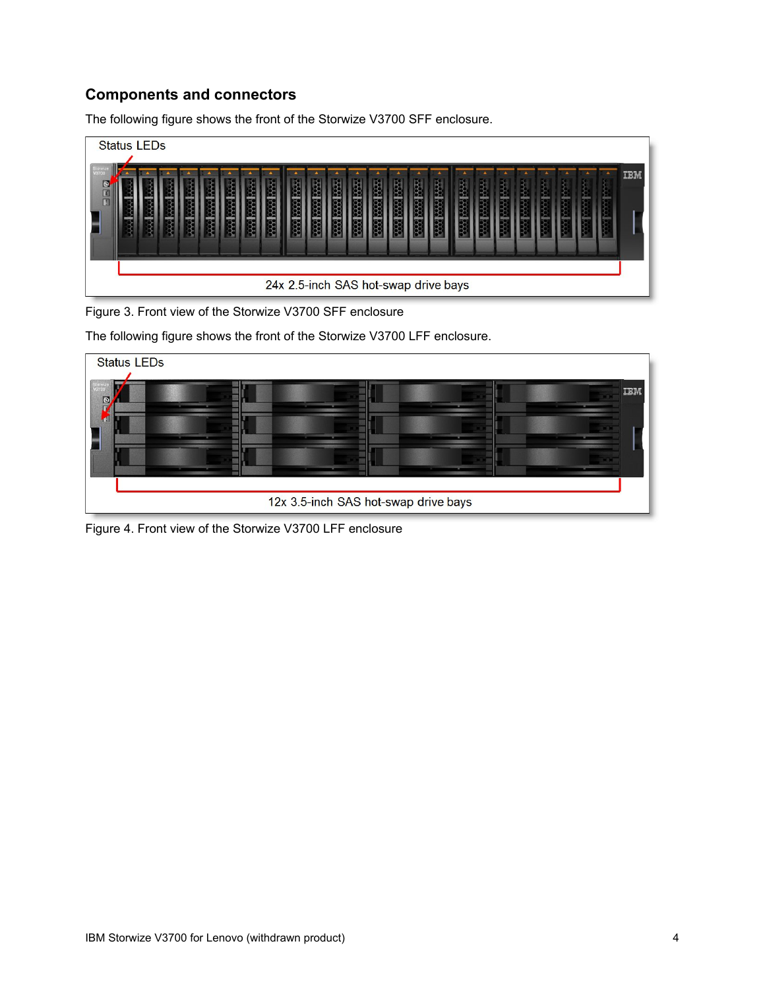## **Components and connectors**

The following figure shows the front of the Storwize V3700 SFF enclosure.

| <b>Status LEDs</b> |                                      |  |  |  |  |  |  |  |  |  |  |  |  |  |  |  |  |     |
|--------------------|--------------------------------------|--|--|--|--|--|--|--|--|--|--|--|--|--|--|--|--|-----|
| $\overline{e}$     |                                      |  |  |  |  |  |  |  |  |  |  |  |  |  |  |  |  | IBM |
|                    |                                      |  |  |  |  |  |  |  |  |  |  |  |  |  |  |  |  |     |
|                    |                                      |  |  |  |  |  |  |  |  |  |  |  |  |  |  |  |  |     |
|                    | 24x 2.5-inch SAS hot-swap drive bays |  |  |  |  |  |  |  |  |  |  |  |  |  |  |  |  |     |

Figure 3. Front view of the Storwize V3700 SFF enclosure

The following figure shows the front of the Storwize V3700 LFF enclosure.



Figure 4. Front view of the Storwize V3700 LFF enclosure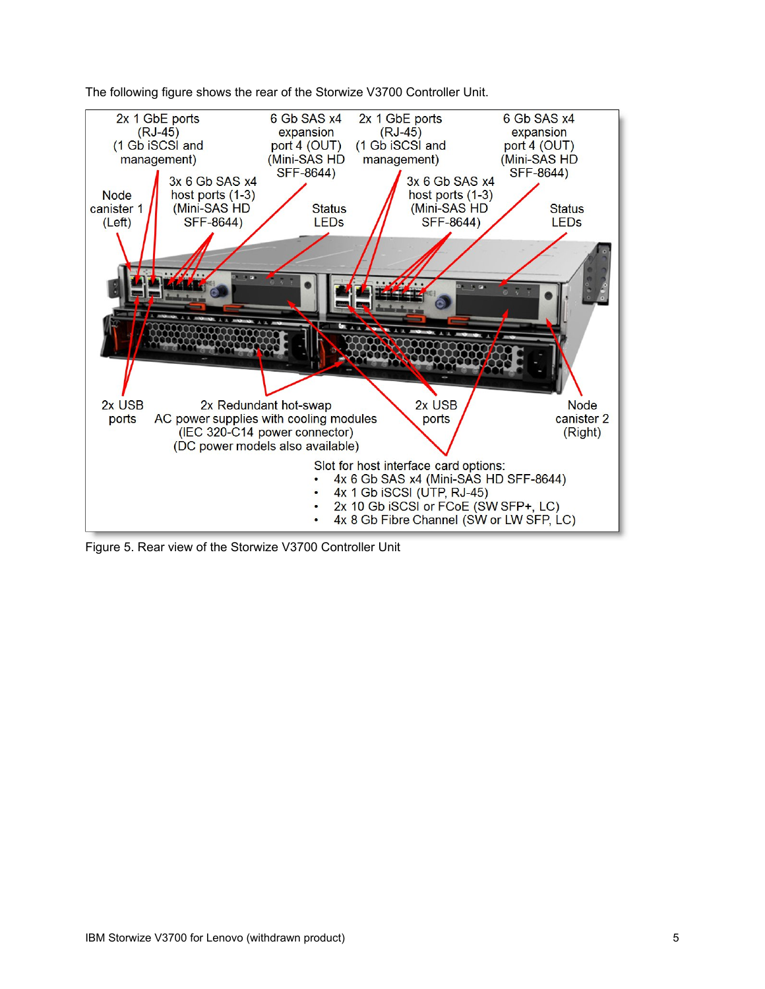

The following figure shows the rear of the Storwize V3700 Controller Unit.

Figure 5. Rear view of the Storwize V3700 Controller Unit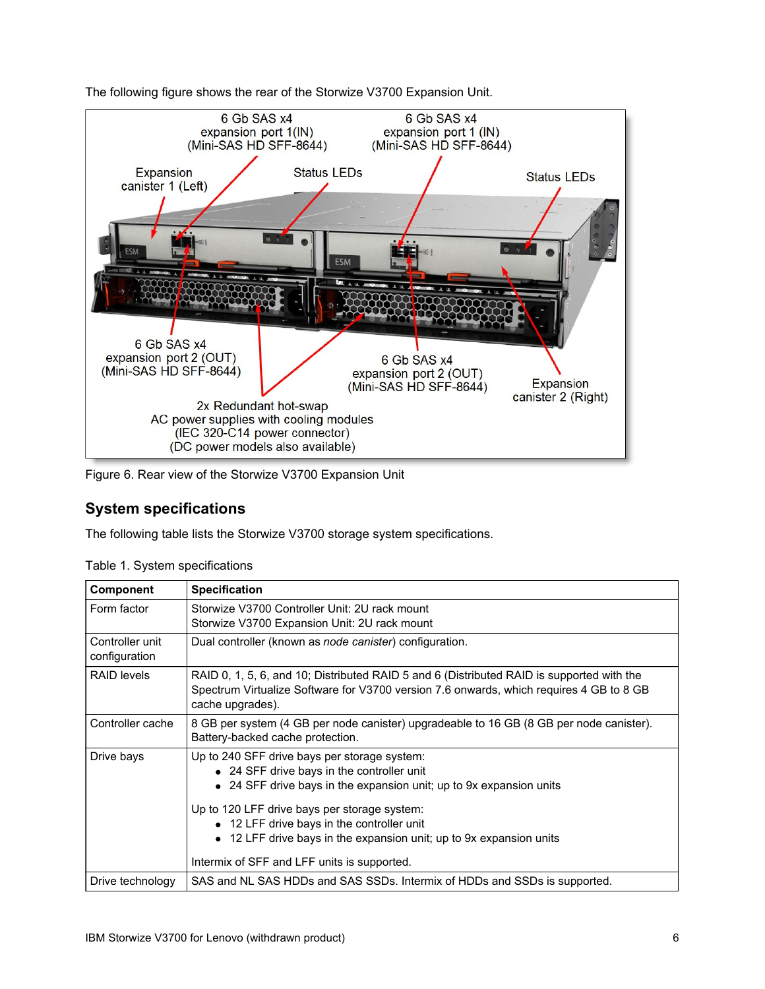

The following figure shows the rear of the Storwize V3700 Expansion Unit.

Figure 6. Rear view of the Storwize V3700 Expansion Unit

### **System specifications**

The following table lists the Storwize V3700 storage system specifications.

| Component                        | <b>Specification</b>                                                                                                                                                                                     |
|----------------------------------|----------------------------------------------------------------------------------------------------------------------------------------------------------------------------------------------------------|
| Form factor                      | Storwize V3700 Controller Unit: 2U rack mount<br>Storwize V3700 Expansion Unit: 2U rack mount                                                                                                            |
| Controller unit<br>configuration | Dual controller (known as <i>node canister</i> ) configuration.                                                                                                                                          |
| <b>RAID levels</b>               | RAID 0, 1, 5, 6, and 10; Distributed RAID 5 and 6 (Distributed RAID is supported with the<br>Spectrum Virtualize Software for V3700 version 7.6 onwards, which requires 4 GB to 8 GB<br>cache upgrades). |
| Controller cache                 | 8 GB per system (4 GB per node canister) upgradeable to 16 GB (8 GB per node canister).<br>Battery-backed cache protection.                                                                              |
| Drive bays                       | Up to 240 SFF drive bays per storage system:<br>• 24 SFF drive bays in the controller unit<br>• 24 SFF drive bays in the expansion unit; up to 9x expansion units                                        |
|                                  | Up to 120 LFF drive bays per storage system:<br>• 12 LFF drive bays in the controller unit<br>12 LFF drive bays in the expansion unit; up to 9x expansion units                                          |
|                                  | Intermix of SFF and LFF units is supported.                                                                                                                                                              |
| Drive technology                 | SAS and NL SAS HDDs and SAS SSDs. Intermix of HDDs and SSDs is supported.                                                                                                                                |

Table 1. System specifications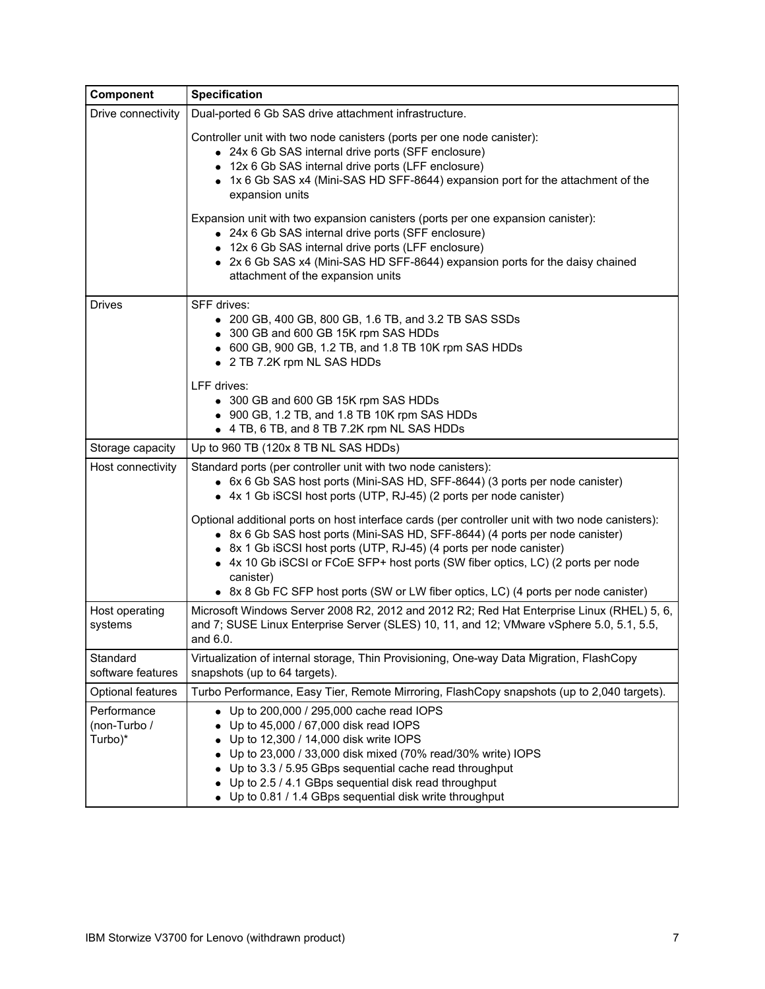| Component                              | <b>Specification</b>                                                                                                                                                                                                                                                                                                                                                                                                                                                                       |
|----------------------------------------|--------------------------------------------------------------------------------------------------------------------------------------------------------------------------------------------------------------------------------------------------------------------------------------------------------------------------------------------------------------------------------------------------------------------------------------------------------------------------------------------|
| Drive connectivity                     | Dual-ported 6 Gb SAS drive attachment infrastructure.                                                                                                                                                                                                                                                                                                                                                                                                                                      |
|                                        | Controller unit with two node canisters (ports per one node canister):<br>• 24x 6 Gb SAS internal drive ports (SFF enclosure)<br>12x 6 Gb SAS internal drive ports (LFF enclosure)<br>• 1x 6 Gb SAS x4 (Mini-SAS HD SFF-8644) expansion port for the attachment of the<br>expansion units<br>Expansion unit with two expansion canisters (ports per one expansion canister):<br>• 24x 6 Gb SAS internal drive ports (SFF enclosure)<br>• 12x 6 Gb SAS internal drive ports (LFF enclosure) |
|                                        | • 2x 6 Gb SAS x4 (Mini-SAS HD SFF-8644) expansion ports for the daisy chained<br>attachment of the expansion units                                                                                                                                                                                                                                                                                                                                                                         |
| <b>Drives</b>                          | SFF drives:<br>• 200 GB, 400 GB, 800 GB, 1.6 TB, and 3.2 TB SAS SSDs<br>• 300 GB and 600 GB 15K rpm SAS HDDs<br>• 600 GB, 900 GB, 1.2 TB, and 1.8 TB 10K rpm SAS HDDs<br>• 2 TB 7.2K rpm NL SAS HDDs                                                                                                                                                                                                                                                                                       |
|                                        | LFF drives:<br>• 300 GB and 600 GB 15K rpm SAS HDDs<br>• 900 GB, 1.2 TB, and 1.8 TB 10K rpm SAS HDDs<br>• 4 TB, 6 TB, and 8 TB 7.2K rpm NL SAS HDDs                                                                                                                                                                                                                                                                                                                                        |
| Storage capacity                       | Up to 960 TB (120x 8 TB NL SAS HDDs)                                                                                                                                                                                                                                                                                                                                                                                                                                                       |
| Host connectivity                      | Standard ports (per controller unit with two node canisters):<br>• 6x 6 Gb SAS host ports (Mini-SAS HD, SFF-8644) (3 ports per node canister)<br>• 4x 1 Gb iSCSI host ports (UTP, RJ-45) (2 ports per node canister)                                                                                                                                                                                                                                                                       |
|                                        | Optional additional ports on host interface cards (per controller unit with two node canisters):<br>• 8x 6 Gb SAS host ports (Mini-SAS HD, SFF-8644) (4 ports per node canister)<br>• 8x 1 Gb iSCSI host ports (UTP, RJ-45) (4 ports per node canister)<br>• 4x 10 Gb iSCSI or FCoE SFP+ host ports (SW fiber optics, LC) (2 ports per node<br>canister)<br>• 8x 8 Gb FC SFP host ports (SW or LW fiber optics, LC) (4 ports per node canister)                                            |
| Host operating<br>systems              | Microsoft Windows Server 2008 R2, 2012 and 2012 R2; Red Hat Enterprise Linux (RHEL) 5, 6,<br>and 7; SUSE Linux Enterprise Server (SLES) 10, 11, and 12; VMware vSphere 5.0, 5.1, 5.5,<br>and 6.0.                                                                                                                                                                                                                                                                                          |
| Standard<br>software features          | Virtualization of internal storage, Thin Provisioning, One-way Data Migration, FlashCopy<br>snapshots (up to 64 targets).                                                                                                                                                                                                                                                                                                                                                                  |
| <b>Optional features</b>               | Turbo Performance, Easy Tier, Remote Mirroring, FlashCopy snapshots (up to 2,040 targets).                                                                                                                                                                                                                                                                                                                                                                                                 |
| Performance<br>(non-Turbo /<br>Turbo)* | Up to 200,000 / 295,000 cache read IOPS<br>$\bullet$<br>Up to 45,000 / 67,000 disk read IOPS<br>Up to 12,300 / 14,000 disk write IOPS<br>Up to 23,000 / 33,000 disk mixed (70% read/30% write) IOPS<br>Up to 3.3 / 5.95 GBps sequential cache read throughput<br>Up to 2.5 / 4.1 GBps sequential disk read throughput<br>Up to 0.81 / 1.4 GBps sequential disk write throughput                                                                                                            |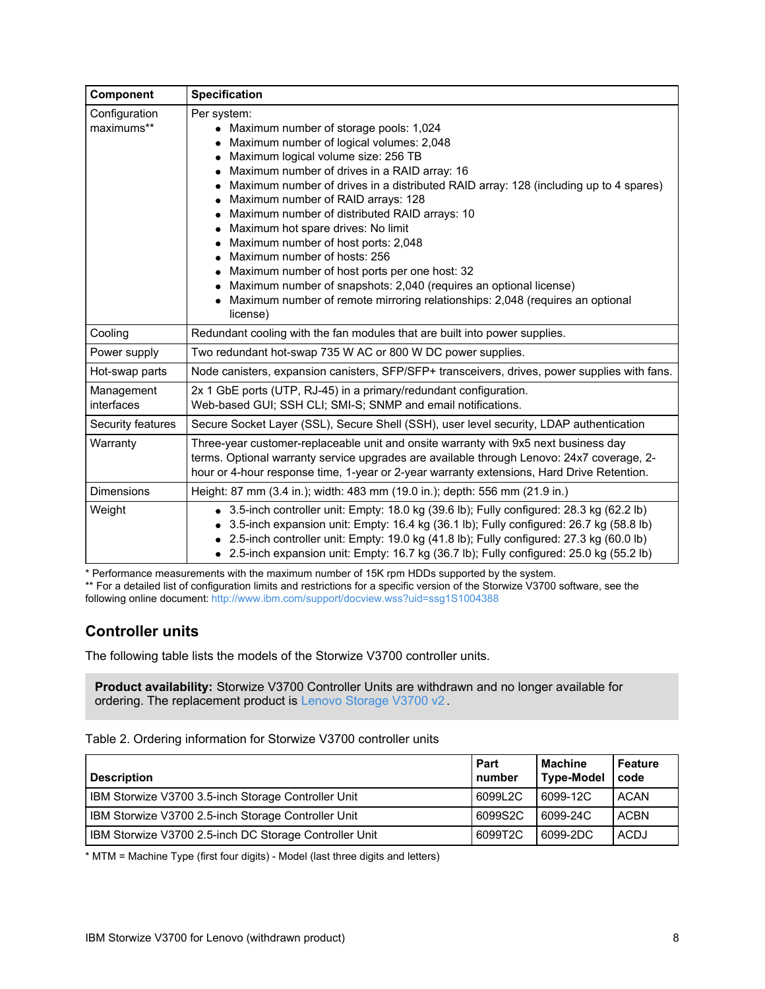| Component                   | <b>Specification</b>                                                                                                                                                                                                                                                                                                                                                                                                                                                                                                                                                                                                                                                                                      |
|-----------------------------|-----------------------------------------------------------------------------------------------------------------------------------------------------------------------------------------------------------------------------------------------------------------------------------------------------------------------------------------------------------------------------------------------------------------------------------------------------------------------------------------------------------------------------------------------------------------------------------------------------------------------------------------------------------------------------------------------------------|
| Configuration<br>maximums** | Per system:<br>• Maximum number of storage pools: 1,024<br>Maximum number of logical volumes: 2,048<br>Maximum logical volume size: 256 TB<br>Maximum number of drives in a RAID array: 16<br>Maximum number of drives in a distributed RAID array: 128 (including up to 4 spares)<br>Maximum number of RAID arrays: 128<br>Maximum number of distributed RAID arrays: 10<br>Maximum hot spare drives: No limit<br>Maximum number of host ports: 2,048<br>Maximum number of hosts: 256<br>Maximum number of host ports per one host: 32<br>Maximum number of snapshots: 2,040 (requires an optional license)<br>Maximum number of remote mirroring relationships: 2,048 (requires an optional<br>license) |
| Cooling                     | Redundant cooling with the fan modules that are built into power supplies.                                                                                                                                                                                                                                                                                                                                                                                                                                                                                                                                                                                                                                |
| Power supply                | Two redundant hot-swap 735 W AC or 800 W DC power supplies.                                                                                                                                                                                                                                                                                                                                                                                                                                                                                                                                                                                                                                               |
| Hot-swap parts              | Node canisters, expansion canisters, SFP/SFP+ transceivers, drives, power supplies with fans.                                                                                                                                                                                                                                                                                                                                                                                                                                                                                                                                                                                                             |
| Management<br>interfaces    | 2x 1 GbE ports (UTP, RJ-45) in a primary/redundant configuration.<br>Web-based GUI; SSH CLI; SMI-S; SNMP and email notifications.                                                                                                                                                                                                                                                                                                                                                                                                                                                                                                                                                                         |
| Security features           | Secure Socket Layer (SSL), Secure Shell (SSH), user level security, LDAP authentication                                                                                                                                                                                                                                                                                                                                                                                                                                                                                                                                                                                                                   |
| Warranty                    | Three-year customer-replaceable unit and onsite warranty with 9x5 next business day<br>terms. Optional warranty service upgrades are available through Lenovo: 24x7 coverage, 2-<br>hour or 4-hour response time, 1-year or 2-year warranty extensions, Hard Drive Retention.                                                                                                                                                                                                                                                                                                                                                                                                                             |
| <b>Dimensions</b>           | Height: 87 mm (3.4 in.); width: 483 mm (19.0 in.); depth: 556 mm (21.9 in.)                                                                                                                                                                                                                                                                                                                                                                                                                                                                                                                                                                                                                               |
| Weight                      | $\bullet$ 3.5-inch controller unit: Empty: 18.0 kg (39.6 lb); Fully configured: 28.3 kg (62.2 lb)<br>3.5-inch expansion unit: Empty: 16.4 kg (36.1 lb); Fully configured: 26.7 kg (58.8 lb)<br>2.5-inch controller unit: Empty: 19.0 kg (41.8 lb); Fully configured: 27.3 kg (60.0 lb)<br>$\bullet$ 2.5-inch expansion unit: Empty: 16.7 kg (36.7 lb); Fully configured: 25.0 kg (55.2 lb)                                                                                                                                                                                                                                                                                                                |

\* Performance measurements with the maximum number of 15K rpm HDDs supported by the system.

\*\* For a detailed list of configuration limits and restrictions for a specific version of the Storwize V3700 software, see the following online document: <http://www.ibm.com/support/docview.wss?uid=ssg1S1004388>

## **Controller units**

The following table lists the models of the Storwize V3700 controller units.

**Product availability:** Storwize V3700 Controller Units are withdrawn and no longer available for ordering. The replacement product is Lenovo [Storage](http://lenovopress.com/lp0497) V3700 v2.

| <b>Description</b>                                     | Part<br>number | <b>Machine</b><br><b>Type-Model</b> | Feature<br>code |
|--------------------------------------------------------|----------------|-------------------------------------|-----------------|
| IBM Storwize V3700 3.5-inch Storage Controller Unit    | 6099L2C        | 6099-12C                            | ACAN            |
| IBM Storwize V3700 2.5-inch Storage Controller Unit    | 6099S2C        | 6099-24C                            | <b>ACBN</b>     |
| IBM Storwize V3700 2.5-inch DC Storage Controller Unit | 6099T2C        | 6099-2DC                            | <b>ACDJ</b>     |

\* MTM = Machine Type (first four digits) - Model (last three digits and letters)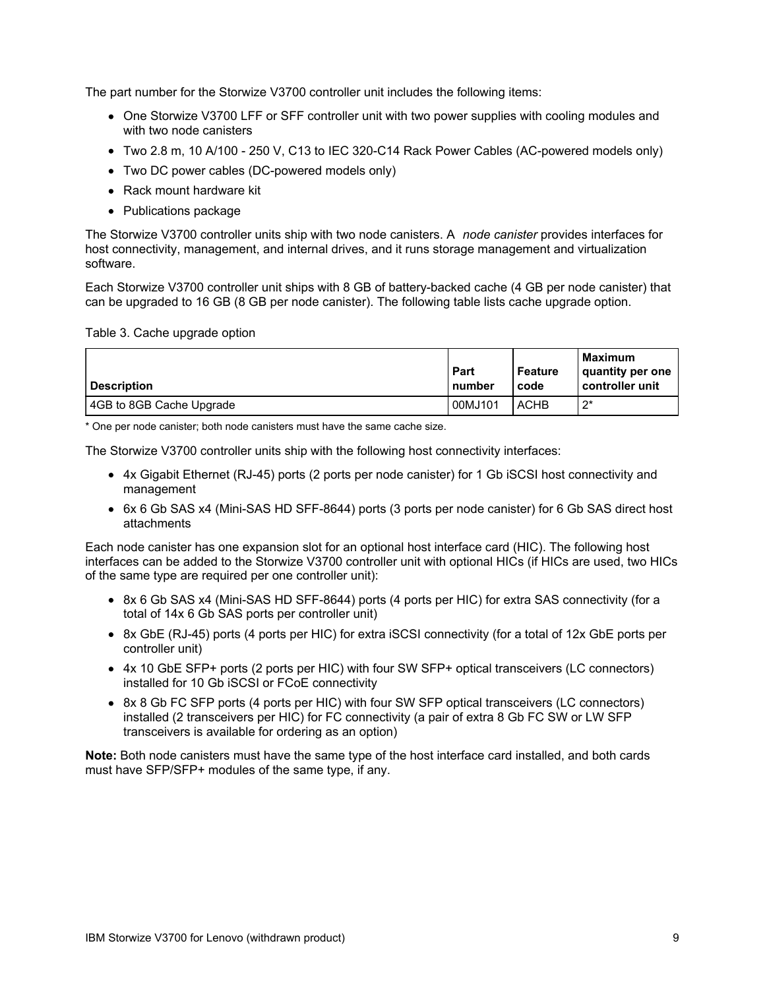The part number for the Storwize V3700 controller unit includes the following items:

- One Storwize V3700 LFF or SFF controller unit with two power supplies with cooling modules and with two node canisters
- Two 2.8 m, 10 A/100 250 V, C13 to IEC 320-C14 Rack Power Cables (AC-powered models only)
- Two DC power cables (DC-powered models only)
- Rack mount hardware kit
- Publications package

The Storwize V3700 controller units ship with two node canisters. A *node canister* provides interfaces for host connectivity, management, and internal drives, and it runs storage management and virtualization software.

Each Storwize V3700 controller unit ships with 8 GB of battery-backed cache (4 GB per node canister) that can be upgraded to 16 GB (8 GB per node canister). The following table lists cache upgrade option.

#### Table 3. Cache upgrade option

| <b>Description</b>       | Part<br>number | Feature<br>code | <b>Maximum</b><br>quantity per one<br>controller unit |
|--------------------------|----------------|-----------------|-------------------------------------------------------|
| 4GB to 8GB Cache Upgrade | 00MJ101        | <b>ACHB</b>     | $2^*$                                                 |

\* One per node canister; both node canisters must have the same cache size.

The Storwize V3700 controller units ship with the following host connectivity interfaces:

- 4x Gigabit Ethernet (RJ-45) ports (2 ports per node canister) for 1 Gb iSCSI host connectivity and management
- 6x 6 Gb SAS x4 (Mini-SAS HD SFF-8644) ports (3 ports per node canister) for 6 Gb SAS direct host attachments

Each node canister has one expansion slot for an optional host interface card (HIC). The following host interfaces can be added to the Storwize V3700 controller unit with optional HICs (if HICs are used, two HICs of the same type are required per one controller unit):

- 8x 6 Gb SAS x4 (Mini-SAS HD SFF-8644) ports (4 ports per HIC) for extra SAS connectivity (for a total of 14x 6 Gb SAS ports per controller unit)
- 8x GbE (RJ-45) ports (4 ports per HIC) for extra iSCSI connectivity (for a total of 12x GbE ports per controller unit)
- 4x 10 GbE SFP+ ports (2 ports per HIC) with four SW SFP+ optical transceivers (LC connectors) installed for 10 Gb iSCSI or FCoE connectivity
- 8x 8 Gb FC SFP ports (4 ports per HIC) with four SW SFP optical transceivers (LC connectors) installed (2 transceivers per HIC) for FC connectivity (a pair of extra 8 Gb FC SW or LW SFP transceivers is available for ordering as an option)

**Note:** Both node canisters must have the same type of the host interface card installed, and both cards must have SFP/SFP+ modules of the same type, if any.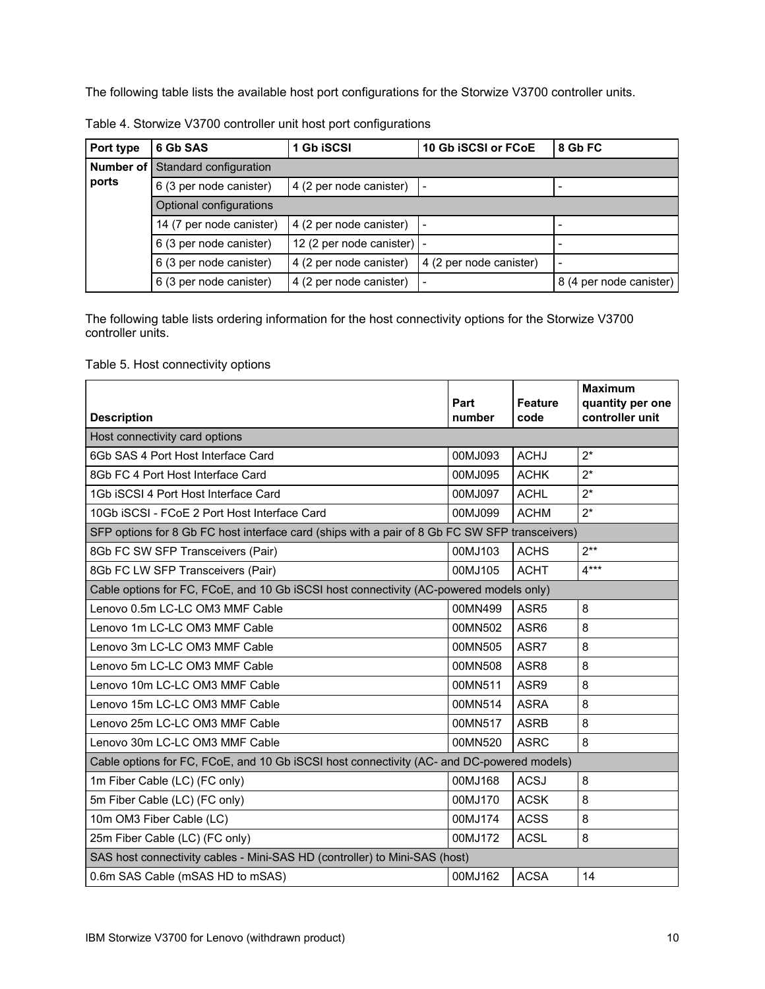The following table lists the available host port configurations for the Storwize V3700 controller units.

| Port type   | 6 Gb SAS                 | <b>Gb iSCSI</b>                    | 10 Gb iSCSI or FCoE     | 8 Gb FC                 |  |  |  |  |  |
|-------------|--------------------------|------------------------------------|-------------------------|-------------------------|--|--|--|--|--|
| Number of I | Standard configuration   |                                    |                         |                         |  |  |  |  |  |
| ports       | 6 (3 per node canister)  | 4 (2 per node canister)            |                         |                         |  |  |  |  |  |
|             | Optional configurations  |                                    |                         |                         |  |  |  |  |  |
|             | 14 (7 per node canister) | 4 (2 per node canister)            |                         |                         |  |  |  |  |  |
|             | 6 (3 per node canister)  | 12 (2 per node canister) $\vert$ - |                         |                         |  |  |  |  |  |
|             | 6 (3 per node canister)  | 4 (2 per node canister)            | 4 (2 per node canister) | -                       |  |  |  |  |  |
|             | 6 (3 per node canister)  | 4 (2 per node canister)            |                         | 8 (4 per node canister) |  |  |  |  |  |

Table 4. Storwize V3700 controller unit host port configurations

The following table lists ordering information for the host connectivity options for the Storwize V3700 controller units.

#### Table 5. Host connectivity options

| <b>Description</b>                                                                             | Part<br>number | <b>Feature</b><br>code | <b>Maximum</b><br>quantity per one<br>controller unit |  |  |  |
|------------------------------------------------------------------------------------------------|----------------|------------------------|-------------------------------------------------------|--|--|--|
| Host connectivity card options                                                                 |                |                        |                                                       |  |  |  |
| 6Gb SAS 4 Port Host Interface Card                                                             | 00MJ093        | <b>ACHJ</b>            | $2^*$                                                 |  |  |  |
| 8Gb FC 4 Port Host Interface Card                                                              | 00MJ095        | <b>ACHK</b>            | $2^*$                                                 |  |  |  |
| 1Gb iSCSI 4 Port Host Interface Card                                                           | 00MJ097        | <b>ACHL</b>            | $2^*$                                                 |  |  |  |
| 10Gb iSCSI - FCoE 2 Port Host Interface Card                                                   | 00MJ099        | <b>ACHM</b>            | $2^*$                                                 |  |  |  |
| SFP options for 8 Gb FC host interface card (ships with a pair of 8 Gb FC SW SFP transceivers) |                |                        |                                                       |  |  |  |
| 8Gb FC SW SFP Transceivers (Pair)                                                              | 00MJ103        | <b>ACHS</b>            | $2**$                                                 |  |  |  |
| 8Gb FC LW SFP Transceivers (Pair)                                                              | 00MJ105        | <b>ACHT</b>            | $4***$                                                |  |  |  |
| Cable options for FC, FCoE, and 10 Gb iSCSI host connectivity (AC-powered models only)         |                |                        |                                                       |  |  |  |
| Lenovo 0.5m LC-LC OM3 MMF Cable                                                                | 00MN499        | ASR <sub>5</sub>       | 8                                                     |  |  |  |
| Lenovo 1m LC-LC OM3 MMF Cable                                                                  | 00MN502        | ASR6                   | 8                                                     |  |  |  |
| Lenovo 3m LC-LC OM3 MMF Cable                                                                  | 00MN505        | ASR7                   | 8                                                     |  |  |  |
| Lenovo 5m LC-LC OM3 MMF Cable                                                                  | 00MN508        | ASR8                   | 8                                                     |  |  |  |
| Lenovo 10m LC-LC OM3 MMF Cable                                                                 | 00MN511        | ASR9                   | 8                                                     |  |  |  |
| Lenovo 15m LC-LC OM3 MMF Cable                                                                 | 00MN514        | <b>ASRA</b>            | 8                                                     |  |  |  |
| Lenovo 25m LC-LC OM3 MMF Cable                                                                 | 00MN517        | <b>ASRB</b>            | 8                                                     |  |  |  |
| Lenovo 30m LC-LC OM3 MMF Cable                                                                 | 00MN520        | <b>ASRC</b>            | 8                                                     |  |  |  |
| Cable options for FC, FCoE, and 10 Gb iSCSI host connectivity (AC- and DC-powered models)      |                |                        |                                                       |  |  |  |
| 1m Fiber Cable (LC) (FC only)                                                                  | 00MJ168        | <b>ACSJ</b>            | 8                                                     |  |  |  |
| 5m Fiber Cable (LC) (FC only)                                                                  | 00MJ170        | <b>ACSK</b>            | 8                                                     |  |  |  |
| 10m OM3 Fiber Cable (LC)                                                                       | 00MJ174        | <b>ACSS</b>            | 8                                                     |  |  |  |
| 25m Fiber Cable (LC) (FC only)                                                                 | 00MJ172        | <b>ACSL</b>            | 8                                                     |  |  |  |
| SAS host connectivity cables - Mini-SAS HD (controller) to Mini-SAS (host)                     |                |                        |                                                       |  |  |  |
| 0.6m SAS Cable (mSAS HD to mSAS)                                                               | 00MJ162        | <b>ACSA</b>            | 14                                                    |  |  |  |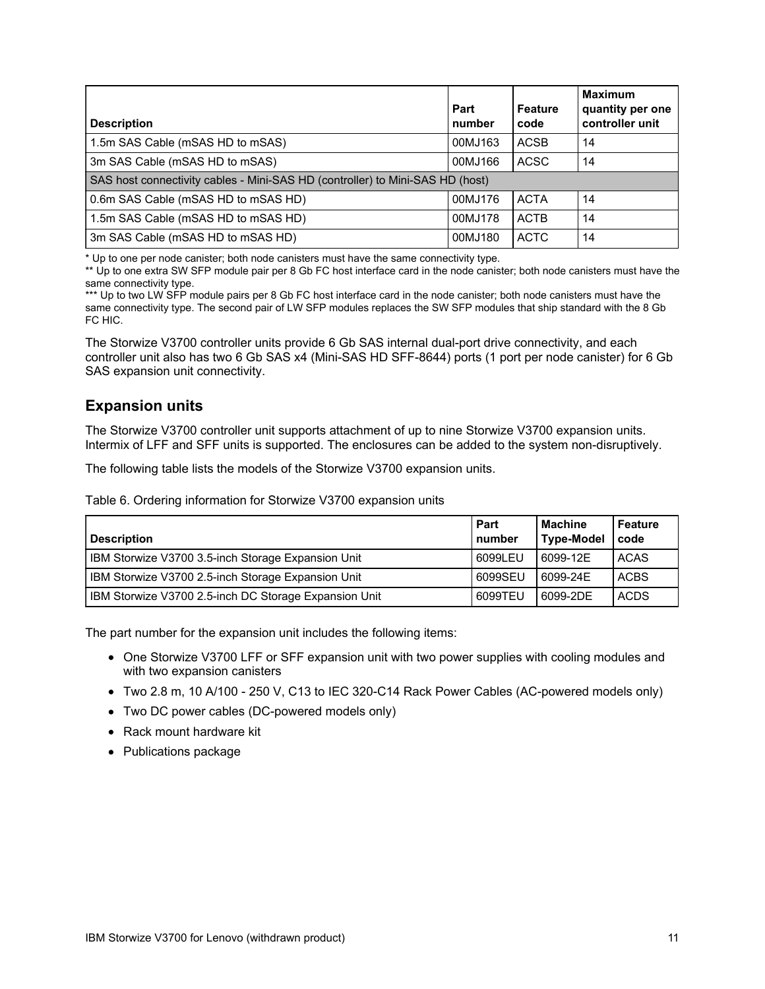| <b>Description</b>                                                            | Part<br>number | <b>Feature</b><br>code | <b>Maximum</b><br>quantity per one<br>controller unit |  |  |  |
|-------------------------------------------------------------------------------|----------------|------------------------|-------------------------------------------------------|--|--|--|
| 1.5m SAS Cable (mSAS HD to mSAS)                                              | 00MJ163        | <b>ACSB</b>            | 14                                                    |  |  |  |
| 3m SAS Cable (mSAS HD to mSAS)                                                | 00MJ166        | <b>ACSC</b>            | 14                                                    |  |  |  |
| SAS host connectivity cables - Mini-SAS HD (controller) to Mini-SAS HD (host) |                |                        |                                                       |  |  |  |
| 0.6m SAS Cable (mSAS HD to mSAS HD)                                           | 00MJ176        | <b>ACTA</b>            | 14                                                    |  |  |  |
| 1.5m SAS Cable (mSAS HD to mSAS HD)                                           | 00MJ178        | <b>ACTB</b>            | 14                                                    |  |  |  |
| 3m SAS Cable (mSAS HD to mSAS HD)                                             | 00MJ180        | <b>ACTC</b>            | 14                                                    |  |  |  |

\* Up to one per node canister; both node canisters must have the same connectivity type.

\*\* Up to one extra SW SFP module pair per 8 Gb FC host interface card in the node canister; both node canisters must have the same connectivity type.

\*\*\* Up to two LW SFP module pairs per 8 Gb FC host interface card in the node canister; both node canisters must have the same connectivity type. The second pair of LW SFP modules replaces the SW SFP modules that ship standard with the 8 Gb FC HIC.

The Storwize V3700 controller units provide 6 Gb SAS internal dual-port drive connectivity, and each controller unit also has two 6 Gb SAS x4 (Mini-SAS HD SFF-8644) ports (1 port per node canister) for 6 Gb SAS expansion unit connectivity.

### **Expansion units**

The Storwize V3700 controller unit supports attachment of up to nine Storwize V3700 expansion units. Intermix of LFF and SFF units is supported. The enclosures can be added to the system non-disruptively.

The following table lists the models of the Storwize V3700 expansion units.

Table 6. Ordering information for Storwize V3700 expansion units

| <b>Description</b>                                    | Part<br>number | <b>Machine</b><br><b>Type-Model</b> | <b>Feature</b><br>code |
|-------------------------------------------------------|----------------|-------------------------------------|------------------------|
| IBM Storwize V3700 3.5-inch Storage Expansion Unit    | 6099LEU        | 6099-12E                            | <b>ACAS</b>            |
| IBM Storwize V3700 2.5-inch Storage Expansion Unit    | 6099SEU        | 6099-24E                            | <b>ACBS</b>            |
| IBM Storwize V3700 2.5-inch DC Storage Expansion Unit | 6099TEU        | 6099-2DE                            | <b>ACDS</b>            |

The part number for the expansion unit includes the following items:

- One Storwize V3700 LFF or SFF expansion unit with two power supplies with cooling modules and with two expansion canisters
- Two 2.8 m, 10 A/100 250 V, C13 to IEC 320-C14 Rack Power Cables (AC-powered models only)
- Two DC power cables (DC-powered models only)
- Rack mount hardware kit
- Publications package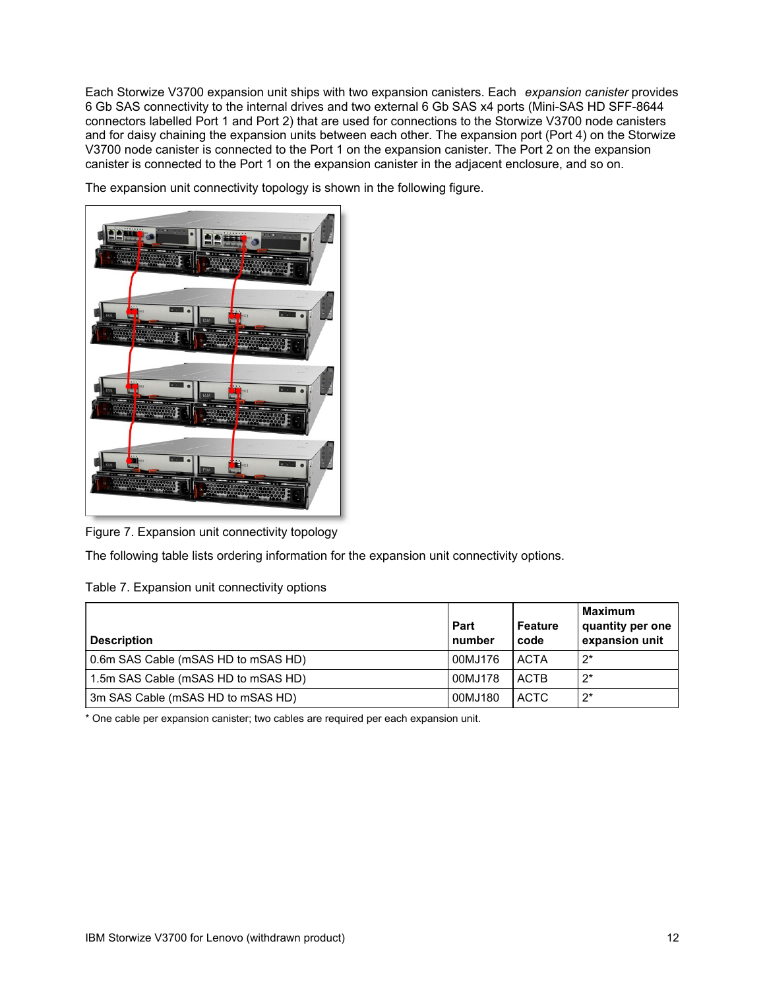Each Storwize V3700 expansion unit ships with two expansion canisters. Each *expansion canister* provides 6 Gb SAS connectivity to the internal drives and two external 6 Gb SAS x4 ports (Mini-SAS HD SFF-8644 connectors labelled Port 1 and Port 2) that are used for connections to the Storwize V3700 node canisters and for daisy chaining the expansion units between each other. The expansion port (Port 4) on the Storwize V3700 node canister is connected to the Port 1 on the expansion canister. The Port 2 on the expansion canister is connected to the Port 1 on the expansion canister in the adjacent enclosure, and so on.

The expansion unit connectivity topology is shown in the following figure.



Figure 7. Expansion unit connectivity topology

The following table lists ordering information for the expansion unit connectivity options.

| Table 7. Expansion unit connectivity options |  |  |  |  |  |
|----------------------------------------------|--|--|--|--|--|
|----------------------------------------------|--|--|--|--|--|

| <b>Description</b>                  | Part<br>number | Feature<br>code | <b>Maximum</b><br>quantity per one<br>expansion unit |
|-------------------------------------|----------------|-----------------|------------------------------------------------------|
| 0.6m SAS Cable (mSAS HD to mSAS HD) | 00MJ176        | <b>ACTA</b>     | $2^*$                                                |
| 1.5m SAS Cable (mSAS HD to mSAS HD) | 00MJ178        | ACTB            | $2^*$                                                |
| 3m SAS Cable (mSAS HD to mSAS HD)   | 00MJ180        | ACTC            | $2^*$                                                |

\* One cable per expansion canister; two cables are required per each expansion unit.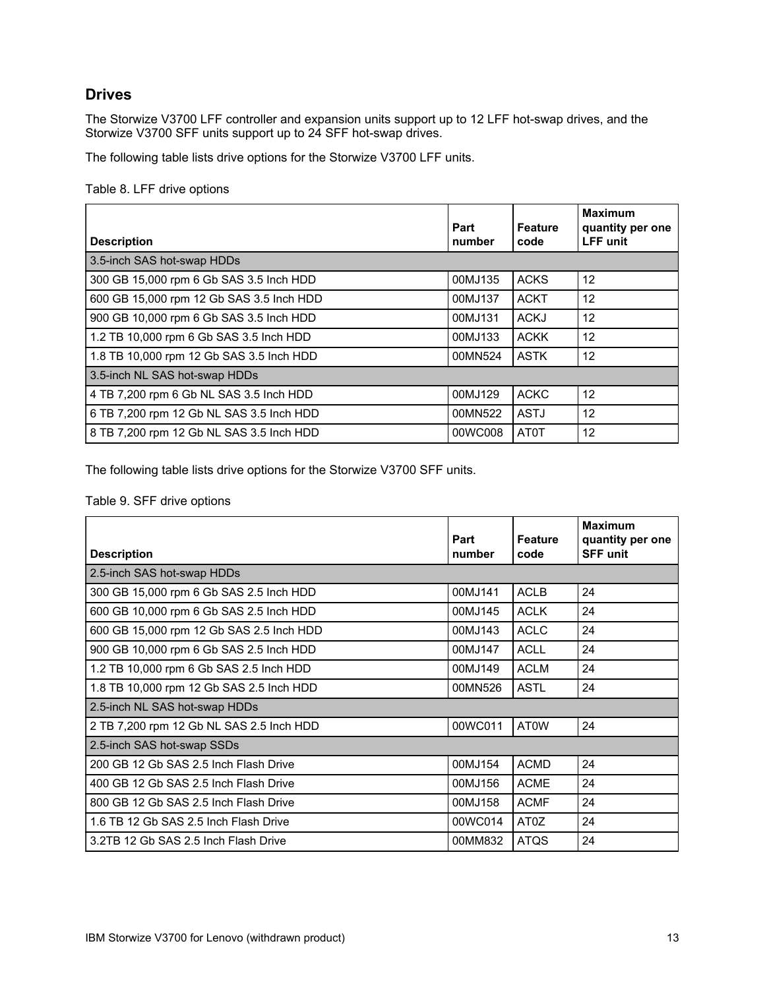### **Drives**

The Storwize V3700 LFF controller and expansion units support up to 12 LFF hot-swap drives, and the Storwize V3700 SFF units support up to 24 SFF hot-swap drives.

The following table lists drive options for the Storwize V3700 LFF units.

Table 8. LFF drive options

| <b>Description</b>                       | Part<br>number | <b>Feature</b><br>code | <b>Maximum</b><br>quantity per one<br><b>LFF</b> unit |
|------------------------------------------|----------------|------------------------|-------------------------------------------------------|
| 3.5-inch SAS hot-swap HDDs               |                |                        |                                                       |
| 300 GB 15,000 rpm 6 Gb SAS 3.5 Inch HDD  | 00MJ135        | <b>ACKS</b>            | 12                                                    |
| 600 GB 15,000 rpm 12 Gb SAS 3.5 Inch HDD | 00MJ137        | <b>ACKT</b>            | 12                                                    |
| 900 GB 10,000 rpm 6 Gb SAS 3.5 Inch HDD  | 00MJ131        | <b>ACKJ</b>            | 12                                                    |
| 1.2 TB 10,000 rpm 6 Gb SAS 3.5 Inch HDD  | 00MJ133        | <b>ACKK</b>            | 12                                                    |
| 1.8 TB 10,000 rpm 12 Gb SAS 3.5 Inch HDD | 00MN524        | <b>ASTK</b>            | 12                                                    |
| 3.5-inch NL SAS hot-swap HDDs            |                |                        |                                                       |
| 4 TB 7,200 rpm 6 Gb NL SAS 3.5 Inch HDD  | 00MJ129        | <b>ACKC</b>            | 12                                                    |
| 6 TB 7,200 rpm 12 Gb NL SAS 3.5 Inch HDD | 00MN522        | <b>ASTJ</b>            | 12                                                    |
| 8 TB 7,200 rpm 12 Gb NL SAS 3.5 Inch HDD | 00WC008        | <b>AT0T</b>            | 12                                                    |

The following table lists drive options for the Storwize V3700 SFF units.

#### Table 9. SFF drive options

|                                          | Part    | <b>Feature</b> | <b>Maximum</b><br>quantity per one |
|------------------------------------------|---------|----------------|------------------------------------|
| <b>Description</b>                       | number  | code           | <b>SFF unit</b>                    |
| 2.5-inch SAS hot-swap HDDs               |         |                |                                    |
| 300 GB 15,000 rpm 6 Gb SAS 2.5 Inch HDD  | 00MJ141 | <b>ACLB</b>    | 24                                 |
| 600 GB 10,000 rpm 6 Gb SAS 2.5 Inch HDD  | 00MJ145 | <b>ACLK</b>    | 24                                 |
| 600 GB 15,000 rpm 12 Gb SAS 2.5 Inch HDD | 00MJ143 | <b>ACLC</b>    | 24                                 |
| 900 GB 10,000 rpm 6 Gb SAS 2.5 Inch HDD  | 00MJ147 | <b>ACLL</b>    | 24                                 |
| 1.2 TB 10,000 rpm 6 Gb SAS 2.5 lnch HDD  | 00MJ149 | <b>ACLM</b>    | 24                                 |
| 1.8 TB 10,000 rpm 12 Gb SAS 2.5 lnch HDD | 00MN526 | <b>ASTL</b>    | 24                                 |
| 2.5-inch NL SAS hot-swap HDDs            |         |                |                                    |
| 2 TB 7,200 rpm 12 Gb NL SAS 2.5 Inch HDD | 00WC011 | <b>AT0W</b>    | 24                                 |
| 2.5-inch SAS hot-swap SSDs               |         |                |                                    |
| 200 GB 12 Gb SAS 2.5 Inch Flash Drive    | 00MJ154 | <b>ACMD</b>    | 24                                 |
| 400 GB 12 Gb SAS 2.5 Inch Flash Drive    | 00MJ156 | <b>ACME</b>    | 24                                 |
| 800 GB 12 Gb SAS 2.5 Inch Flash Drive    | 00MJ158 | <b>ACMF</b>    | 24                                 |
| 1.6 TB 12 Gb SAS 2.5 Inch Flash Drive    | 00WC014 | AT0Z           | 24                                 |
| 3.2TB 12 Gb SAS 2.5 Inch Flash Drive     | 00MM832 | <b>ATQS</b>    | 24                                 |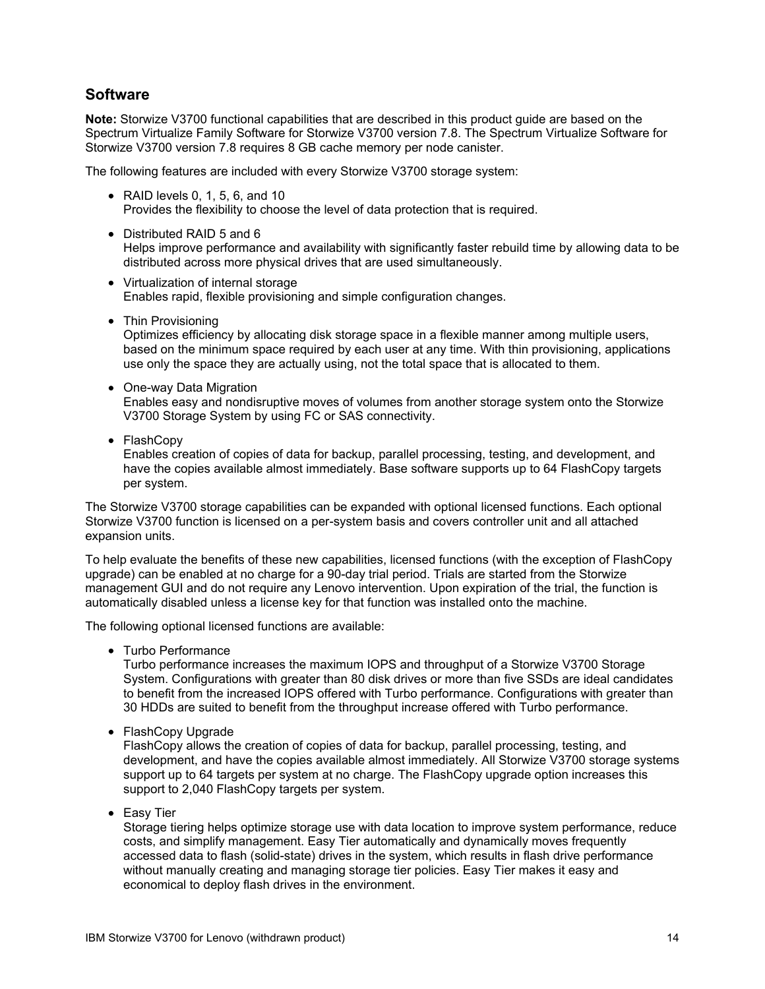### **Software**

**Note:** Storwize V3700 functional capabilities that are described in this product guide are based on the Spectrum Virtualize Family Software for Storwize V3700 version 7.8. The Spectrum Virtualize Software for Storwize V3700 version 7.8 requires 8 GB cache memory per node canister.

The following features are included with every Storwize V3700 storage system:

- $\bullet$  RAID levels 0, 1, 5, 6, and 10 Provides the flexibility to choose the level of data protection that is required.
- Distributed RAID 5 and 6

Helps improve performance and availability with significantly faster rebuild time by allowing data to be distributed across more physical drives that are used simultaneously.

- Virtualization of internal storage Enables rapid, flexible provisioning and simple configuration changes.
- Thin Provisioning

Optimizes efficiency by allocating disk storage space in a flexible manner among multiple users, based on the minimum space required by each user at any time. With thin provisioning, applications use only the space they are actually using, not the total space that is allocated to them.

• One-way Data Migration

Enables easy and nondisruptive moves of volumes from another storage system onto the Storwize V3700 Storage System by using FC or SAS connectivity.

• FlashCopy

Enables creation of copies of data for backup, parallel processing, testing, and development, and have the copies available almost immediately. Base software supports up to 64 FlashCopy targets per system.

The Storwize V3700 storage capabilities can be expanded with optional licensed functions. Each optional Storwize V3700 function is licensed on a per-system basis and covers controller unit and all attached expansion units.

To help evaluate the benefits of these new capabilities, licensed functions (with the exception of FlashCopy upgrade) can be enabled at no charge for a 90-day trial period. Trials are started from the Storwize management GUI and do not require any Lenovo intervention. Upon expiration of the trial, the function is automatically disabled unless a license key for that function was installed onto the machine.

The following optional licensed functions are available:

• Turbo Performance

Turbo performance increases the maximum IOPS and throughput of a Storwize V3700 Storage System. Configurations with greater than 80 disk drives or more than five SSDs are ideal candidates to benefit from the increased IOPS offered with Turbo performance. Configurations with greater than 30 HDDs are suited to benefit from the throughput increase offered with Turbo performance.

• FlashCopy Upgrade

FlashCopy allows the creation of copies of data for backup, parallel processing, testing, and development, and have the copies available almost immediately. All Storwize V3700 storage systems support up to 64 targets per system at no charge. The FlashCopy upgrade option increases this support to 2,040 FlashCopy targets per system.

• Easy Tier

Storage tiering helps optimize storage use with data location to improve system performance, reduce costs, and simplify management. Easy Tier automatically and dynamically moves frequently accessed data to flash (solid-state) drives in the system, which results in flash drive performance without manually creating and managing storage tier policies. Easy Tier makes it easy and economical to deploy flash drives in the environment.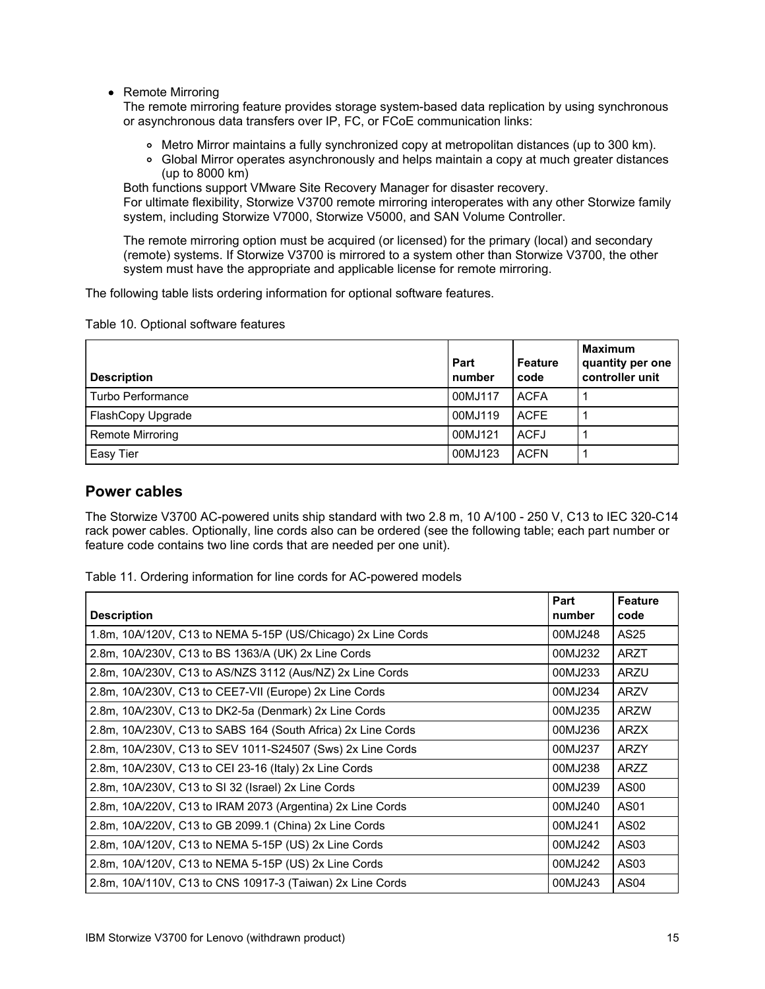• Remote Mirroring

The remote mirroring feature provides storage system-based data replication by using synchronous or asynchronous data transfers over IP, FC, or FCoE communication links:

- Metro Mirror maintains a fully synchronized copy at metropolitan distances (up to 300 km).
- Global Mirror operates asynchronously and helps maintain a copy at much greater distances (up to 8000 km)

Both functions support VMware Site Recovery Manager for disaster recovery.

For ultimate flexibility, Storwize V3700 remote mirroring interoperates with any other Storwize family system, including Storwize V7000, Storwize V5000, and SAN Volume Controller.

The remote mirroring option must be acquired (or licensed) for the primary (local) and secondary (remote) systems. If Storwize V3700 is mirrored to a system other than Storwize V3700, the other system must have the appropriate and applicable license for remote mirroring.

The following table lists ordering information for optional software features.

Table 10. Optional software features

| <b>Description</b>      | Part<br>number | <b>Feature</b><br>code | <b>Maximum</b><br>quantity per one<br>controller unit |
|-------------------------|----------------|------------------------|-------------------------------------------------------|
| Turbo Performance       | 00MJ117        | <b>ACFA</b>            |                                                       |
| FlashCopy Upgrade       | 00MJ119        | <b>ACFE</b>            |                                                       |
| <b>Remote Mirroring</b> | 00MJ121        | <b>ACFJ</b>            |                                                       |
| Easy Tier               | 00MJ123        | <b>ACFN</b>            |                                                       |

#### **Power cables**

The Storwize V3700 AC-powered units ship standard with two 2.8 m, 10 A/100 - 250 V, C13 to IEC 320-C14 rack power cables. Optionally, line cords also can be ordered (see the following table; each part number or feature code contains two line cords that are needed per one unit).

Table 11. Ordering information for line cords for AC-powered models

| <b>Description</b>                                           | Part<br>number | <b>Feature</b><br>code |
|--------------------------------------------------------------|----------------|------------------------|
| 1.8m, 10A/120V, C13 to NEMA 5-15P (US/Chicago) 2x Line Cords | 00MJ248        | AS25                   |
| 2.8m, 10A/230V, C13 to BS 1363/A (UK) 2x Line Cords          | 00MJ232        | <b>ARZT</b>            |
| 2.8m, 10A/230V, C13 to AS/NZS 3112 (Aus/NZ) 2x Line Cords    | 00MJ233        | <b>ARZU</b>            |
| 2.8m, 10A/230V, C13 to CEE7-VII (Europe) 2x Line Cords       | 00MJ234        | <b>ARZV</b>            |
| 2.8m, 10A/230V, C13 to DK2-5a (Denmark) 2x Line Cords        | 00MJ235        | <b>ARZW</b>            |
| 2.8m, 10A/230V, C13 to SABS 164 (South Africa) 2x Line Cords | 00MJ236        | <b>ARZX</b>            |
| 2.8m, 10A/230V, C13 to SEV 1011-S24507 (Sws) 2x Line Cords   | 00MJ237        | <b>ARZY</b>            |
| 2.8m, 10A/230V, C13 to CEI 23-16 (Italy) 2x Line Cords       | 00MJ238        | <b>ARZZ</b>            |
| 2.8m, 10A/230V, C13 to SI 32 (Israel) 2x Line Cords          | 00MJ239        | AS <sub>00</sub>       |
| 2.8m, 10A/220V, C13 to IRAM 2073 (Argentina) 2x Line Cords   | 00MJ240        | AS01                   |
| 2.8m, 10A/220V, C13 to GB 2099.1 (China) 2x Line Cords       | 00MJ241        | AS02                   |
| 2.8m, 10A/120V, C13 to NEMA 5-15P (US) 2x Line Cords         | 00MJ242        | AS <sub>03</sub>       |
| 2.8m, 10A/120V, C13 to NEMA 5-15P (US) 2x Line Cords         | 00MJ242        | AS03                   |
| 2.8m, 10A/110V, C13 to CNS 10917-3 (Taiwan) 2x Line Cords    | 00MJ243        | AS <sub>04</sub>       |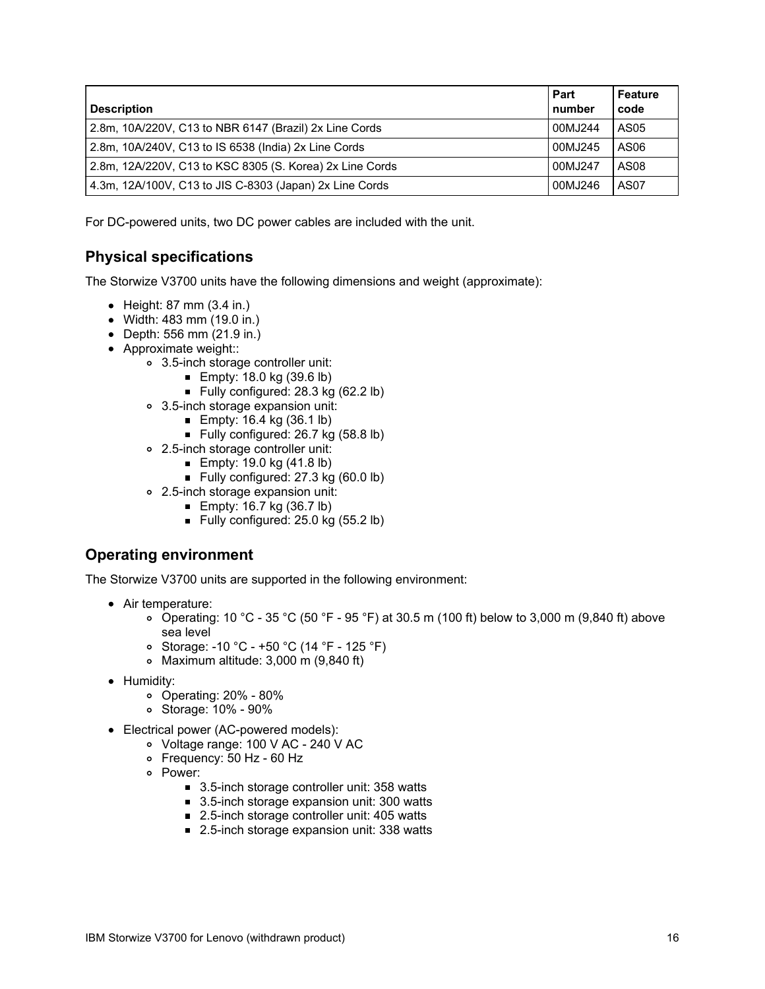| <b>Description</b>                                       | Part<br>number | <b>Feature</b><br>code |
|----------------------------------------------------------|----------------|------------------------|
| 2.8m, 10A/220V, C13 to NBR 6147 (Brazil) 2x Line Cords   | 00MJ244        | AS05                   |
| 2.8m, 10A/240V, C13 to IS 6538 (India) 2x Line Cords     | 00MJ245        | AS06                   |
| 2.8m, 12A/220V, C13 to KSC 8305 (S. Korea) 2x Line Cords | 00MJ247        | AS08                   |
| 4.3m, 12A/100V, C13 to JIS C-8303 (Japan) 2x Line Cords  | 00MJ246        | AS <sub>07</sub>       |

For DC-powered units, two DC power cables are included with the unit.

## **Physical specifications**

The Storwize V3700 units have the following dimensions and weight (approximate):

- $\bullet$  Height: 87 mm (3.4 in.)
- Width: 483 mm (19.0 in.)
- Depth: 556 mm (21.9 in.)
- Approximate weight::
	- 3.5-inch storage controller unit:
		- **Empty: 18.0 kg (39.6 lb)**
		- Fully configured:  $28.3$  kg (62.2 lb)
	- 3.5-inch storage expansion unit:
		- **Empty: 16.4 kg (36.1 lb)**
		- Fully configured: 26.7 kg (58.8 lb)
	- 2.5-inch storage controller unit:
		- **Empty: 19.0 kg (41.8 lb)**
		- Fully configured: 27.3 kg (60.0 lb)
	- 2.5-inch storage expansion unit:
		- **Empty: 16.7 kg (36.7 lb)** 
			- Fully configured: 25.0 kg (55.2 lb)

### **Operating environment**

The Storwize V3700 units are supported in the following environment:

- Air temperature:
	- Operating: 10 °C 35 °C (50 °F 95 °F) at 30.5 m (100 ft) below to 3,000 m (9,840 ft) above sea level
	- Storage: -10 °C +50 °C (14 °F 125 °F)
	- Maximum altitude: 3,000 m (9,840 ft)
- Humidity:
	- Operating: 20% 80%
	- Storage: 10% 90%
- Electrical power (AC-powered models):
	- Voltage range: 100 V AC 240 V AC
	- Frequency: 50 Hz 60 Hz
	- Power:
		- 3.5-inch storage controller unit: 358 watts
		- 3.5-inch storage expansion unit: 300 watts
		- 2.5-inch storage controller unit: 405 watts
		- 2.5-inch storage expansion unit: 338 watts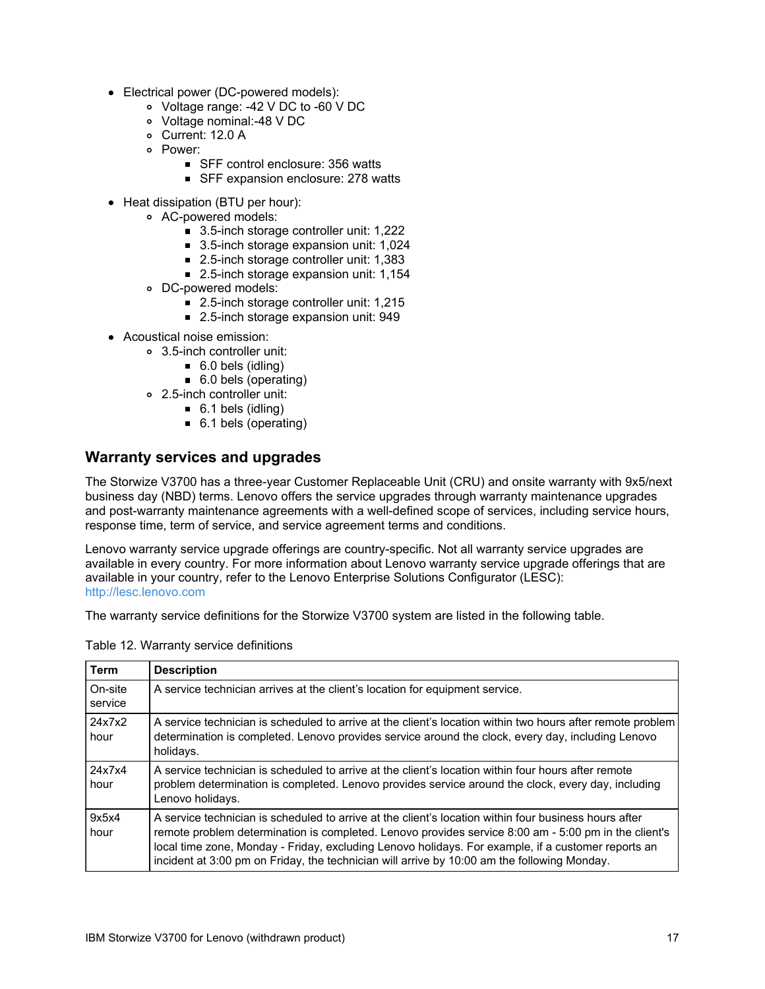- Electrical power (DC-powered models):
	- Voltage range: -42 V DC to -60 V DC
	- Voltage nominal:-48 V DC
	- Current: 12.0 A
	- Power:
		- SFF control enclosure: 356 watts
			- SFF expansion enclosure: 278 watts
- Heat dissipation (BTU per hour):
	- AC-powered models:
		- 3.5-inch storage controller unit: 1,222
		- 3.5-inch storage expansion unit: 1,024
		- 2.5-inch storage controller unit: 1,383
		- 2.5-inch storage expansion unit: 1,154
	- DC-powered models:
		- 2.5-inch storage controller unit: 1,215
		- 2.5-inch storage expansion unit: 949
- Acoustical noise emission:
	- 3.5-inch controller unit:
		- 6.0 bels (idling)
		- 6.0 bels (operating)
	- 2.5-inch controller unit:
		- 6.1 bels (idling)
		- 6.1 bels (operating)

### **Warranty services and upgrades**

The Storwize V3700 has a three-year Customer Replaceable Unit (CRU) and onsite warranty with 9x5/next business day (NBD) terms. Lenovo offers the service upgrades through warranty maintenance upgrades and post-warranty maintenance agreements with a well-defined scope of services, including service hours, response time, term of service, and service agreement terms and conditions.

Lenovo warranty service upgrade offerings are country-specific. Not all warranty service upgrades are available in every country. For more information about Lenovo warranty service upgrade offerings that are available in your country, refer to the Lenovo Enterprise Solutions Configurator (LESC): <http://lesc.lenovo.com>

The warranty service definitions for the Storwize V3700 system are listed in the following table.

| Term               | <b>Description</b>                                                                                                                                                                                                                                                                                                                                                                                                 |
|--------------------|--------------------------------------------------------------------------------------------------------------------------------------------------------------------------------------------------------------------------------------------------------------------------------------------------------------------------------------------------------------------------------------------------------------------|
| On-site<br>service | A service technician arrives at the client's location for equipment service.                                                                                                                                                                                                                                                                                                                                       |
| 24x7x2<br>hour     | A service technician is scheduled to arrive at the client's location within two hours after remote problem<br>determination is completed. Lenovo provides service around the clock, every day, including Lenovo<br>holidays.                                                                                                                                                                                       |
| 24x7x4<br>hour     | A service technician is scheduled to arrive at the client's location within four hours after remote<br>problem determination is completed. Lenovo provides service around the clock, every day, including<br>Lenovo holidays.                                                                                                                                                                                      |
| 9x5x4<br>hour      | A service technician is scheduled to arrive at the client's location within four business hours after<br>remote problem determination is completed. Lenovo provides service 8:00 am - 5:00 pm in the client's<br>local time zone, Monday - Friday, excluding Lenovo holidays. For example, if a customer reports an<br>incident at 3:00 pm on Friday, the technician will arrive by 10:00 am the following Monday. |

Table 12. Warranty service definitions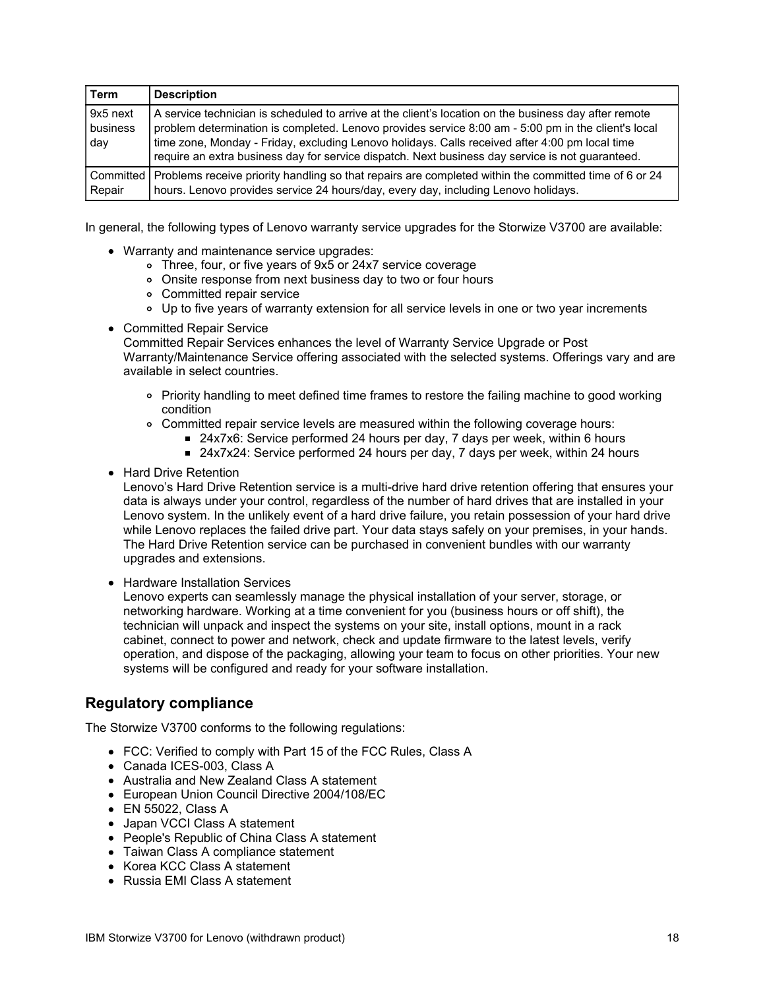| Term                        | <b>Description</b>                                                                                                                                                                                                                                                                                                                                                                                                 |
|-----------------------------|--------------------------------------------------------------------------------------------------------------------------------------------------------------------------------------------------------------------------------------------------------------------------------------------------------------------------------------------------------------------------------------------------------------------|
| 9x5 next<br>business<br>day | A service technician is scheduled to arrive at the client's location on the business day after remote<br>problem determination is completed. Lenovo provides service 8:00 am - 5:00 pm in the client's local<br>time zone, Monday - Friday, excluding Lenovo holidays. Calls received after 4:00 pm local time<br>require an extra business day for service dispatch. Next business day service is not guaranteed. |
| Committed  <br>Repair       | Problems receive priority handling so that repairs are completed within the committed time of 6 or 24<br>hours. Lenovo provides service 24 hours/day, every day, including Lenovo holidays.                                                                                                                                                                                                                        |

In general, the following types of Lenovo warranty service upgrades for the Storwize V3700 are available:

- Warranty and maintenance service upgrades:
	- Three, four, or five years of 9x5 or 24x7 service coverage
	- Onsite response from next business day to two or four hours
	- Committed repair service
	- Up to five years of warranty extension for all service levels in one or two year increments
- Committed Repair Service

Committed Repair Services enhances the level of Warranty Service Upgrade or Post Warranty/Maintenance Service offering associated with the selected systems. Offerings vary and are available in select countries.

- Priority handling to meet defined time frames to restore the failing machine to good working condition
- Committed repair service levels are measured within the following coverage hours:
	- 24x7x6: Service performed 24 hours per day, 7 days per week, within 6 hours
	- 24x7x24: Service performed 24 hours per day, 7 days per week, within 24 hours
- Hard Drive Retention

Lenovo's Hard Drive Retention service is a multi-drive hard drive retention offering that ensures your data is always under your control, regardless of the number of hard drives that are installed in your Lenovo system. In the unlikely event of a hard drive failure, you retain possession of your hard drive while Lenovo replaces the failed drive part. Your data stays safely on your premises, in your hands. The Hard Drive Retention service can be purchased in convenient bundles with our warranty upgrades and extensions.

• Hardware Installation Services

Lenovo experts can seamlessly manage the physical installation of your server, storage, or networking hardware. Working at a time convenient for you (business hours or off shift), the technician will unpack and inspect the systems on your site, install options, mount in a rack cabinet, connect to power and network, check and update firmware to the latest levels, verify operation, and dispose of the packaging, allowing your team to focus on other priorities. Your new systems will be configured and ready for your software installation.

#### **Regulatory compliance**

The Storwize V3700 conforms to the following regulations:

- FCC: Verified to comply with Part 15 of the FCC Rules, Class A
- Canada ICES-003, Class A
- Australia and New Zealand Class A statement
- European Union Council Directive 2004/108/EC
- EN 55022, Class A
- Japan VCCI Class A statement
- People's Republic of China Class A statement
- Taiwan Class A compliance statement
- Korea KCC Class A statement
- Russia EMI Class A statement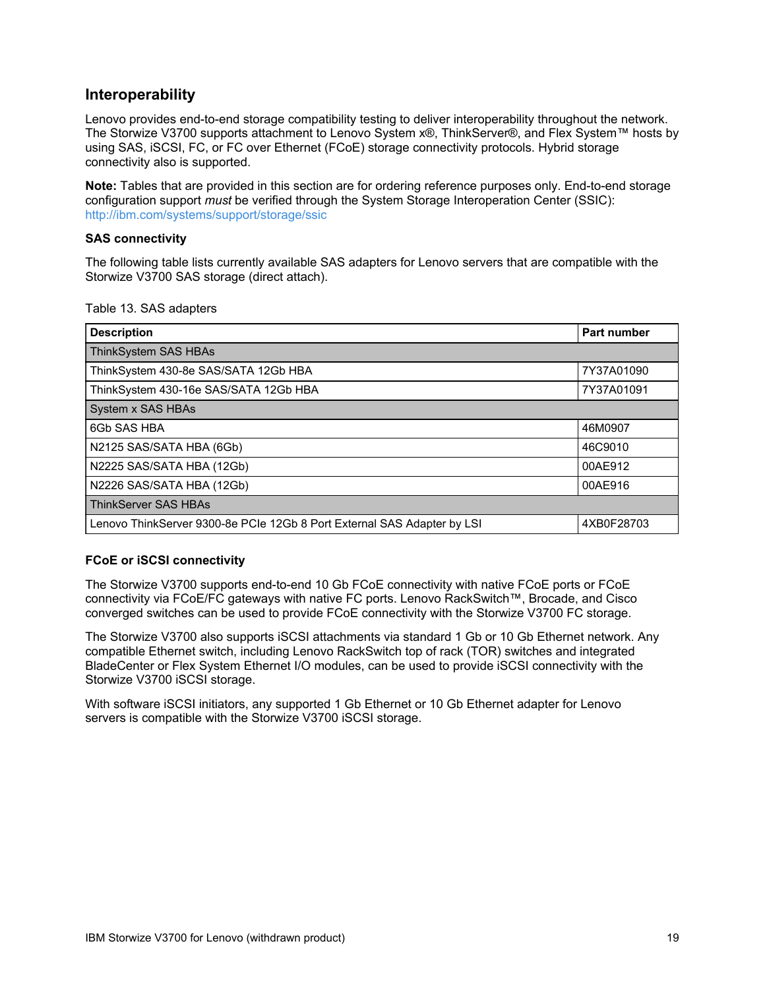### **Interoperability**

Lenovo provides end-to-end storage compatibility testing to deliver interoperability throughout the network. The Storwize V3700 supports attachment to Lenovo System x®, ThinkServer®, and Flex System™ hosts by using SAS, iSCSI, FC, or FC over Ethernet (FCoE) storage connectivity protocols. Hybrid storage connectivity also is supported.

**Note:** Tables that are provided in this section are for ordering reference purposes only. End-to-end storage configuration support *must* be verified through the System Storage Interoperation Center (SSIC): <http://ibm.com/systems/support/storage/ssic>

#### **SAS connectivity**

The following table lists currently available SAS adapters for Lenovo servers that are compatible with the Storwize V3700 SAS storage (direct attach).

Table 13. SAS adapters

| <b>Description</b>                                                      | <b>Part number</b> |
|-------------------------------------------------------------------------|--------------------|
| ThinkSystem SAS HBAs                                                    |                    |
| ThinkSystem 430-8e SAS/SATA 12Gb HBA                                    | 7Y37A01090         |
| ThinkSystem 430-16e SAS/SATA 12Gb HBA                                   | 7Y37A01091         |
| System x SAS HBAs                                                       |                    |
| 6Gb SAS HBA                                                             | 46M0907            |
| N2125 SAS/SATA HBA (6Gb)                                                | 46C9010            |
| N2225 SAS/SATA HBA (12Gb)                                               | 00AE912            |
| N2226 SAS/SATA HBA (12Gb)                                               | 00AE916            |
| <b>ThinkServer SAS HBAs</b>                                             |                    |
| Lenovo ThinkServer 9300-8e PCIe 12Gb 8 Port External SAS Adapter by LSI | 4XB0F28703         |

#### **FCoE or iSCSI connectivity**

The Storwize V3700 supports end-to-end 10 Gb FCoE connectivity with native FCoE ports or FCoE connectivity via FCoE/FC gateways with native FC ports. Lenovo RackSwitch™, Brocade, and Cisco converged switches can be used to provide FCoE connectivity with the Storwize V3700 FC storage.

The Storwize V3700 also supports iSCSI attachments via standard 1 Gb or 10 Gb Ethernet network. Any compatible Ethernet switch, including Lenovo RackSwitch top of rack (TOR) switches and integrated BladeCenter or Flex System Ethernet I/O modules, can be used to provide iSCSI connectivity with the Storwize V3700 iSCSI storage.

With software iSCSI initiators, any supported 1 Gb Ethernet or 10 Gb Ethernet adapter for Lenovo servers is compatible with the Storwize V3700 iSCSI storage.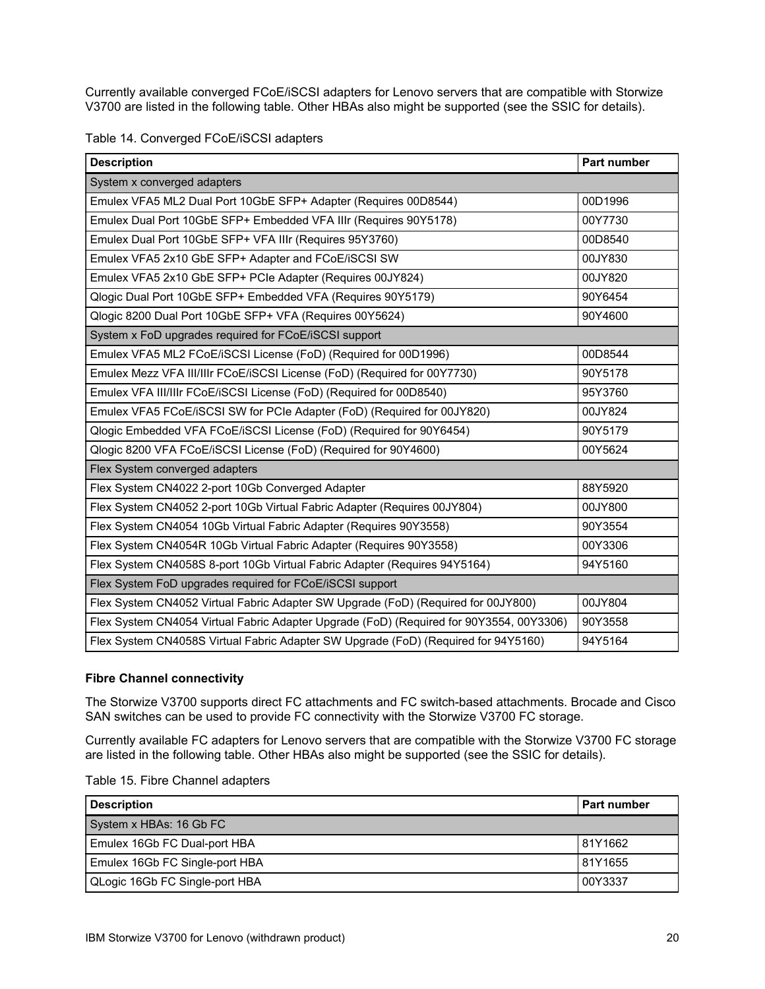Currently available converged FCoE/iSCSI adapters for Lenovo servers that are compatible with Storwize V3700 are listed in the following table. Other HBAs also might be supported (see the SSIC for details).

|  |  | Table 14. Converged FCoE/iSCSI adapters |  |
|--|--|-----------------------------------------|--|
|--|--|-----------------------------------------|--|

| <b>Description</b>                                                                      | Part number |
|-----------------------------------------------------------------------------------------|-------------|
| System x converged adapters                                                             |             |
| Emulex VFA5 ML2 Dual Port 10GbE SFP+ Adapter (Requires 00D8544)                         | 00D1996     |
| Emulex Dual Port 10GbE SFP+ Embedded VFA IIIr (Requires 90Y5178)                        | 00Y7730     |
| Emulex Dual Port 10GbE SFP+ VFA IIIr (Requires 95Y3760)                                 | 00D8540     |
| Emulex VFA5 2x10 GbE SFP+ Adapter and FCoE/iSCSI SW                                     | 00JY830     |
| Emulex VFA5 2x10 GbE SFP+ PCIe Adapter (Requires 00JY824)                               | 00JY820     |
| Qlogic Dual Port 10GbE SFP+ Embedded VFA (Requires 90Y5179)                             | 90Y6454     |
| Qlogic 8200 Dual Port 10GbE SFP+ VFA (Requires 00Y5624)                                 | 90Y4600     |
| System x FoD upgrades required for FCoE/iSCSI support                                   |             |
| Emulex VFA5 ML2 FCoE/iSCSI License (FoD) (Required for 00D1996)                         | 00D8544     |
| Emulex Mezz VFA III/IIIr FCoE/iSCSI License (FoD) (Required for 00Y7730)                | 90Y5178     |
| Emulex VFA III/IIIr FCoE/iSCSI License (FoD) (Required for 00D8540)                     | 95Y3760     |
| Emulex VFA5 FCoE/iSCSI SW for PCIe Adapter (FoD) (Required for 00JY820)                 | 00JY824     |
| Qlogic Embedded VFA FCoE/iSCSI License (FoD) (Required for 90Y6454)                     | 90Y5179     |
| Qlogic 8200 VFA FCoE/iSCSI License (FoD) (Required for 90Y4600)                         | 00Y5624     |
| Flex System converged adapters                                                          |             |
| Flex System CN4022 2-port 10Gb Converged Adapter                                        | 88Y5920     |
| Flex System CN4052 2-port 10Gb Virtual Fabric Adapter (Requires 00JY804)                | 00JY800     |
| Flex System CN4054 10Gb Virtual Fabric Adapter (Requires 90Y3558)                       | 90Y3554     |
| Flex System CN4054R 10Gb Virtual Fabric Adapter (Requires 90Y3558)                      | 00Y3306     |
| Flex System CN4058S 8-port 10Gb Virtual Fabric Adapter (Requires 94Y5164)               | 94Y5160     |
| Flex System FoD upgrades required for FCoE/iSCSI support                                |             |
| Flex System CN4052 Virtual Fabric Adapter SW Upgrade (FoD) (Required for 00JY800)       | 00JY804     |
| Flex System CN4054 Virtual Fabric Adapter Upgrade (FoD) (Required for 90Y3554, 00Y3306) | 90Y3558     |
| Flex System CN4058S Virtual Fabric Adapter SW Upgrade (FoD) (Required for 94Y5160)      | 94Y5164     |

#### **Fibre Channel connectivity**

The Storwize V3700 supports direct FC attachments and FC switch-based attachments. Brocade and Cisco SAN switches can be used to provide FC connectivity with the Storwize V3700 FC storage.

Currently available FC adapters for Lenovo servers that are compatible with the Storwize V3700 FC storage are listed in the following table. Other HBAs also might be supported (see the SSIC for details).

| Table 15. Fibre Channel adapters |  |  |  |  |  |
|----------------------------------|--|--|--|--|--|
|----------------------------------|--|--|--|--|--|

| <b>Description</b>             | <b>Part number</b> |
|--------------------------------|--------------------|
| System x HBAs: 16 Gb FC        |                    |
| Emulex 16Gb FC Dual-port HBA   | 81Y1662            |
| Emulex 16Gb FC Single-port HBA | 81Y1655            |
| QLogic 16Gb FC Single-port HBA | 00Y3337            |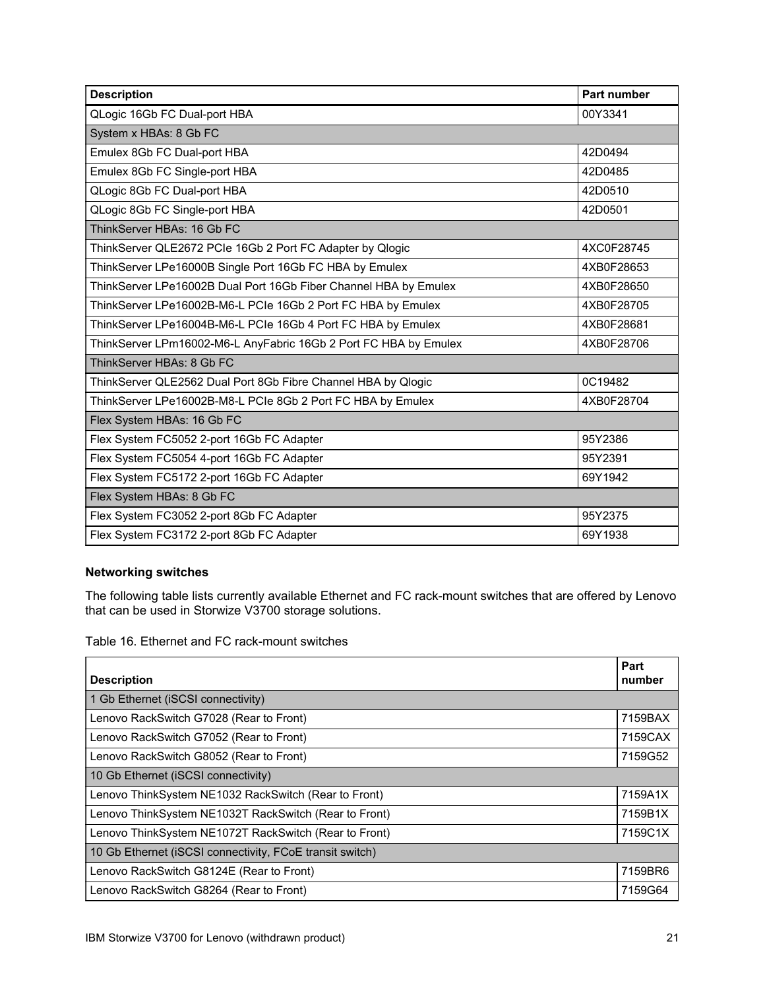| <b>Description</b>                                               | <b>Part number</b> |
|------------------------------------------------------------------|--------------------|
| QLogic 16Gb FC Dual-port HBA                                     | 00Y3341            |
| System x HBAs: 8 Gb FC                                           |                    |
| Emulex 8Gb FC Dual-port HBA                                      | 42D0494            |
| Emulex 8Gb FC Single-port HBA                                    | 42D0485            |
| QLogic 8Gb FC Dual-port HBA                                      | 42D0510            |
| QLogic 8Gb FC Single-port HBA                                    | 42D0501            |
| ThinkServer HBAs: 16 Gb FC                                       |                    |
| ThinkServer QLE2672 PCIe 16Gb 2 Port FC Adapter by Qlogic        | 4XC0F28745         |
| ThinkServer LPe16000B Single Port 16Gb FC HBA by Emulex          | 4XB0F28653         |
| ThinkServer LPe16002B Dual Port 16Gb Fiber Channel HBA by Emulex | 4XB0F28650         |
| ThinkServer LPe16002B-M6-L PCIe 16Gb 2 Port FC HBA by Emulex     | 4XB0F28705         |
| ThinkServer LPe16004B-M6-L PCIe 16Gb 4 Port FC HBA by Emulex     | 4XB0F28681         |
| ThinkServer LPm16002-M6-L AnyFabric 16Gb 2 Port FC HBA by Emulex | 4XB0F28706         |
| ThinkServer HBAs: 8 Gb FC                                        |                    |
| ThinkServer QLE2562 Dual Port 8Gb Fibre Channel HBA by Qlogic    | 0C19482            |
| ThinkServer LPe16002B-M8-L PCIe 8Gb 2 Port FC HBA by Emulex      | 4XB0F28704         |
| Flex System HBAs: 16 Gb FC                                       |                    |
| Flex System FC5052 2-port 16Gb FC Adapter                        | 95Y2386            |
| Flex System FC5054 4-port 16Gb FC Adapter                        | 95Y2391            |
| Flex System FC5172 2-port 16Gb FC Adapter                        | 69Y1942            |
| Flex System HBAs: 8 Gb FC                                        |                    |
| Flex System FC3052 2-port 8Gb FC Adapter                         | 95Y2375            |
| Flex System FC3172 2-port 8Gb FC Adapter                         | 69Y1938            |

## **Networking switches**

The following table lists currently available Ethernet and FC rack-mount switches that are offered by Lenovo that can be used in Storwize V3700 storage solutions.

Table 16. Ethernet and FC rack-mount switches

| <b>Description</b>                                       | Part<br>number |
|----------------------------------------------------------|----------------|
| 1 Gb Ethernet (iSCSI connectivity)                       |                |
| Lenovo RackSwitch G7028 (Rear to Front)                  | 7159BAX        |
| Lenovo RackSwitch G7052 (Rear to Front)                  | 7159CAX        |
| Lenovo RackSwitch G8052 (Rear to Front)                  | 7159G52        |
| 10 Gb Ethernet (iSCSI connectivity)                      |                |
| Lenovo ThinkSystem NE1032 RackSwitch (Rear to Front)     | 7159A1X        |
| Lenovo ThinkSystem NE1032T RackSwitch (Rear to Front)    | 7159B1X        |
| Lenovo ThinkSystem NE1072T RackSwitch (Rear to Front)    | 7159C1X        |
| 10 Gb Ethernet (iSCSI connectivity, FCoE transit switch) |                |
| Lenovo RackSwitch G8124E (Rear to Front)                 | 7159BR6        |
| Lenovo RackSwitch G8264 (Rear to Front)                  | 7159G64        |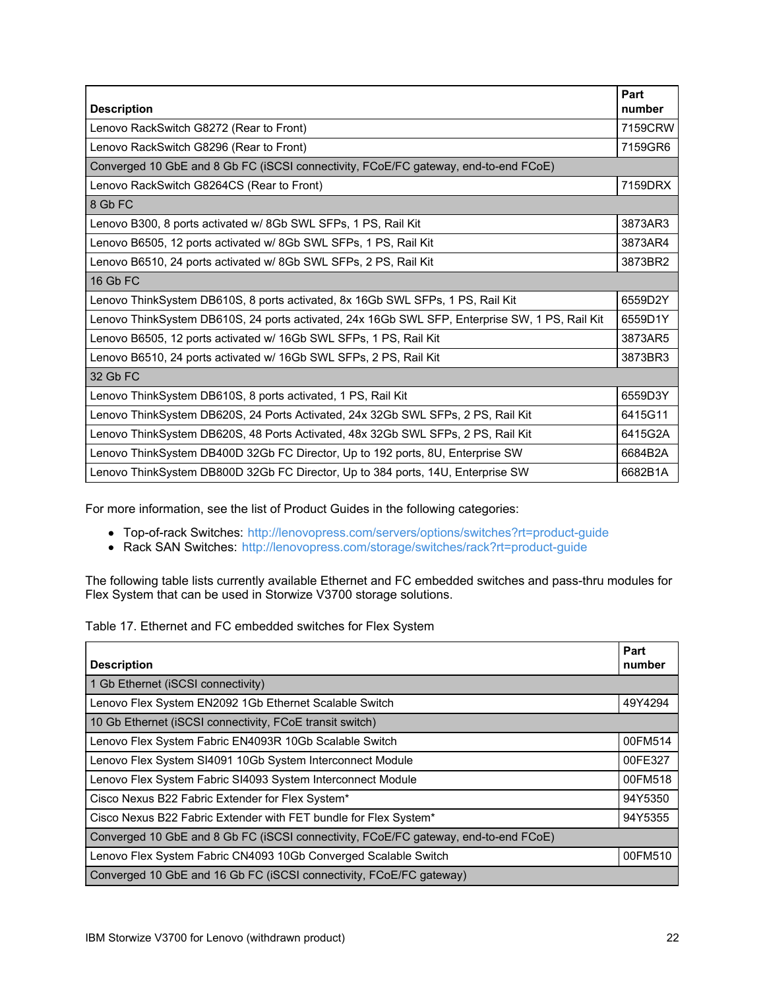| <b>Description</b>                                                                             | Part<br>number |
|------------------------------------------------------------------------------------------------|----------------|
| Lenovo RackSwitch G8272 (Rear to Front)                                                        | 7159CRW        |
| Lenovo RackSwitch G8296 (Rear to Front)                                                        | 7159GR6        |
| Converged 10 GbE and 8 Gb FC (iSCSI connectivity, FCoE/FC gateway, end-to-end FCoE)            |                |
| Lenovo RackSwitch G8264CS (Rear to Front)                                                      | 7159DRX        |
| 8 Gb FC                                                                                        |                |
| Lenovo B300, 8 ports activated w/ 8Gb SWL SFPs, 1 PS, Rail Kit                                 | 3873AR3        |
| Lenovo B6505, 12 ports activated w/ 8Gb SWL SFPs, 1 PS, Rail Kit                               | 3873AR4        |
| Lenovo B6510, 24 ports activated w/ 8Gb SWL SFPs, 2 PS, Rail Kit                               | 3873BR2        |
| 16 Gb FC                                                                                       |                |
| Lenovo ThinkSystem DB610S, 8 ports activated, 8x 16Gb SWL SFPs, 1 PS, Rail Kit                 | 6559D2Y        |
| Lenovo ThinkSystem DB610S, 24 ports activated, 24x 16Gb SWL SFP, Enterprise SW, 1 PS, Rail Kit | 6559D1Y        |
| Lenovo B6505, 12 ports activated w/ 16Gb SWL SFPs, 1 PS, Rail Kit                              | 3873AR5        |
| Lenovo B6510, 24 ports activated w/ 16Gb SWL SFPs, 2 PS, Rail Kit                              | 3873BR3        |
| 32 Gb FC                                                                                       |                |
| Lenovo ThinkSystem DB610S, 8 ports activated, 1 PS, Rail Kit                                   | 6559D3Y        |
| Lenovo ThinkSystem DB620S, 24 Ports Activated, 24x 32Gb SWL SFPs, 2 PS, Rail Kit               | 6415G11        |
| Lenovo ThinkSystem DB620S, 48 Ports Activated, 48x 32Gb SWL SFPs, 2 PS, Rail Kit               | 6415G2A        |
| Lenovo ThinkSystem DB400D 32Gb FC Director, Up to 192 ports, 8U, Enterprise SW                 | 6684B2A        |
| Lenovo ThinkSystem DB800D 32Gb FC Director, Up to 384 ports, 14U, Enterprise SW                | 6682B1A        |

For more information, see the list of Product Guides in the following categories:

- Top-of-rack Switches: <http://lenovopress.com/servers/options/switches?rt=product-guide>
- Rack SAN Switches: <http://lenovopress.com/storage/switches/rack?rt=product-guide>

The following table lists currently available Ethernet and FC embedded switches and pass-thru modules for Flex System that can be used in Storwize V3700 storage solutions.

Table 17. Ethernet and FC embedded switches for Flex System

| <b>Description</b>                                                                  | Part<br>number |
|-------------------------------------------------------------------------------------|----------------|
| 1 Gb Ethernet (iSCSI connectivity)                                                  |                |
| Lenovo Flex System EN2092 1Gb Ethernet Scalable Switch                              | 49Y4294        |
| 10 Gb Ethernet (iSCSI connectivity, FCoE transit switch)                            |                |
| Lenovo Flex System Fabric EN4093R 10Gb Scalable Switch                              | 00FM514        |
| Lenovo Flex System SI4091 10Gb System Interconnect Module                           | 00FE327        |
| Lenovo Flex System Fabric SI4093 System Interconnect Module                         | 00FM518        |
| Cisco Nexus B22 Fabric Extender for Flex System*                                    | 94Y5350        |
| Cisco Nexus B22 Fabric Extender with FET bundle for Flex System*                    | 94Y5355        |
| Converged 10 GbE and 8 Gb FC (iSCSI connectivity, FCoE/FC gateway, end-to-end FCoE) |                |
| Lenovo Flex System Fabric CN4093 10Gb Converged Scalable Switch                     | 00FM510        |
| Converged 10 GbE and 16 Gb FC (iSCSI connectivity, FCoE/FC gateway)                 |                |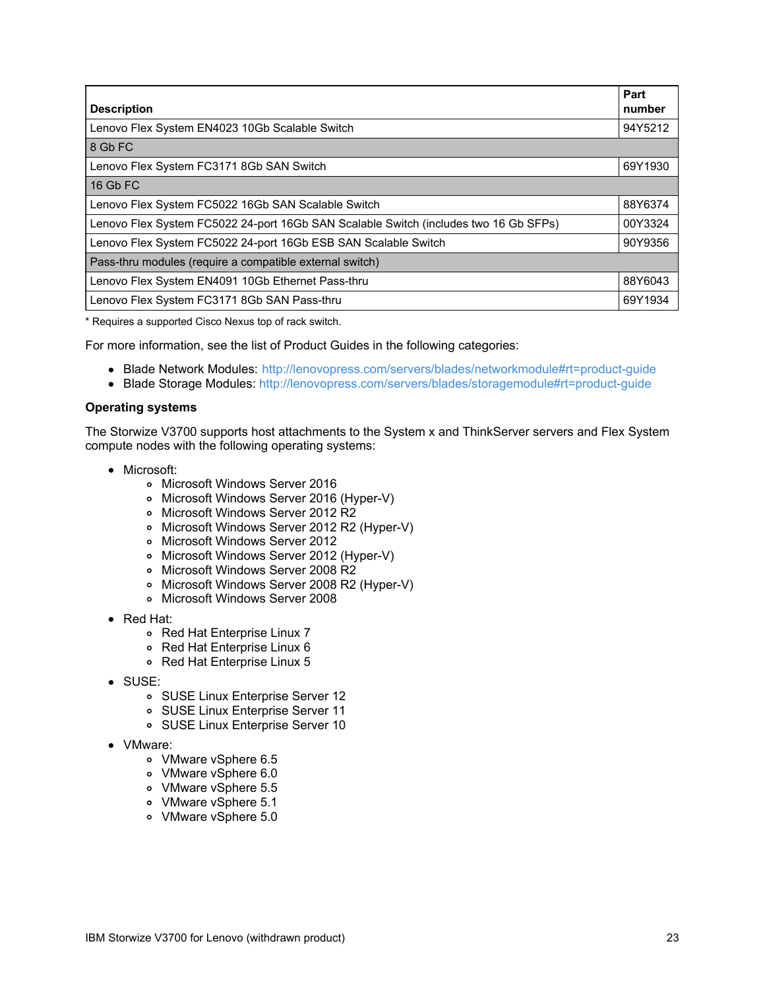| <b>Description</b>                                                                   | Part<br>number |
|--------------------------------------------------------------------------------------|----------------|
| Lenovo Flex System EN4023 10Gb Scalable Switch                                       | 94Y5212        |
| 8 Gb FC                                                                              |                |
| Lenovo Flex System FC3171 8Gb SAN Switch                                             | 69Y1930        |
| 16 Gb FC                                                                             |                |
| Lenovo Flex System FC5022 16Gb SAN Scalable Switch                                   | 88Y6374        |
| Lenovo Flex System FC5022 24-port 16Gb SAN Scalable Switch (includes two 16 Gb SFPs) | 00Y3324        |
| Lenovo Flex System FC5022 24-port 16Gb ESB SAN Scalable Switch                       | 90Y9356        |
| Pass-thru modules (require a compatible external switch)                             |                |
| Lenovo Flex System EN4091 10Gb Ethernet Pass-thru                                    | 88Y6043        |
| Lenovo Flex System FC3171 8Gb SAN Pass-thru                                          | 69Y1934        |

\* Requires a supported Cisco Nexus top of rack switch.

For more information, see the list of Product Guides in the following categories:

- Blade Network Modules: <http://lenovopress.com/servers/blades/networkmodule#rt=product-guide>
- Blade Storage Modules: <http://lenovopress.com/servers/blades/storagemodule#rt=product-guide>

#### **Operating systems**

The Storwize V3700 supports host attachments to the System x and ThinkServer servers and Flex System compute nodes with the following operating systems:

- Microsoft:
	- Microsoft Windows Server 2016
	- Microsoft Windows Server 2016 (Hyper-V)
	- o Microsoft Windows Server 2012 R2
	- o Microsoft Windows Server 2012 R2 (Hyper-V)
	- Microsoft Windows Server 2012
	- Microsoft Windows Server 2012 (Hyper-V)
	- o Microsoft Windows Server 2008 R2
	- o Microsoft Windows Server 2008 R2 (Hyper-V)
	- Microsoft Windows Server 2008
- Red Hat:
	- Red Hat Enterprise Linux 7
	- Red Hat Enterprise Linux 6
	- Red Hat Enterprise Linux 5
- SUSE:
	- o SUSE Linux Enterprise Server 12
	- SUSE Linux Enterprise Server 11
	- SUSE Linux Enterprise Server 10
- VMware:
	- VMware vSphere 6.5
	- VMware vSphere 6.0
	- VMware vSphere 5.5
	- VMware vSphere 5.1
	- VMware vSphere 5.0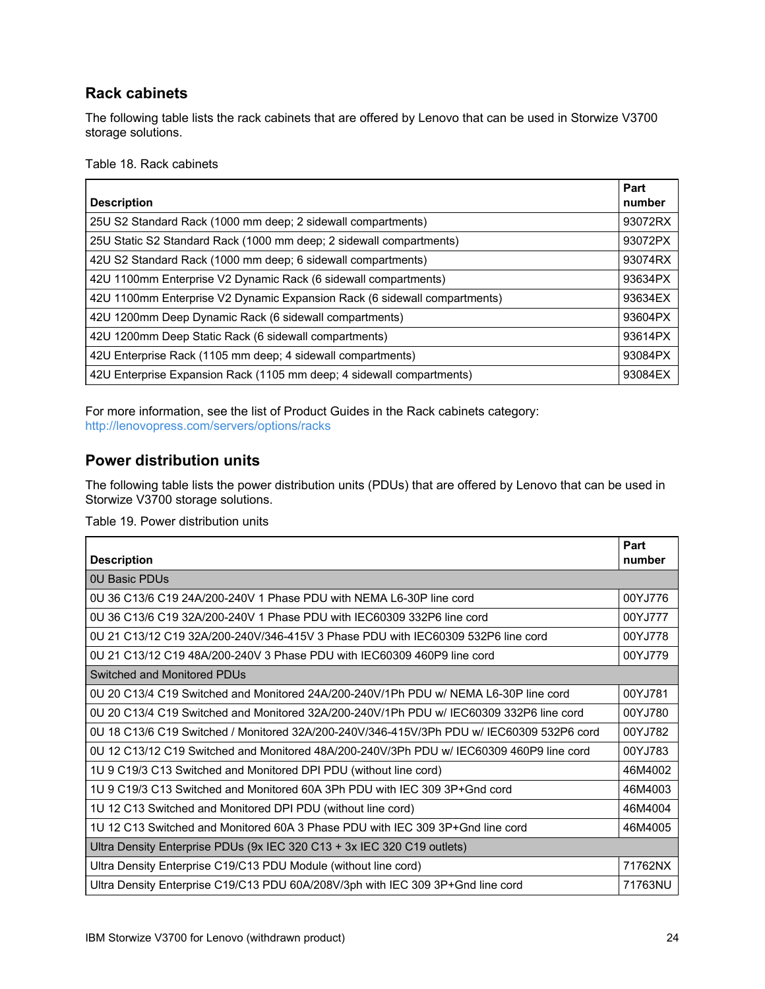## **Rack cabinets**

The following table lists the rack cabinets that are offered by Lenovo that can be used in Storwize V3700 storage solutions.

Table 18. Rack cabinets

| <b>Description</b>                                                        | Part<br>number |
|---------------------------------------------------------------------------|----------------|
| 25U S2 Standard Rack (1000 mm deep; 2 sidewall compartments)              | 93072RX        |
| 25U Static S2 Standard Rack (1000 mm deep; 2 sidewall compartments)       | 93072PX        |
| 42U S2 Standard Rack (1000 mm deep; 6 sidewall compartments)              | 93074RX        |
| 42U 1100mm Enterprise V2 Dynamic Rack (6 sidewall compartments)           | 93634PX        |
| 42U 1100mm Enterprise V2 Dynamic Expansion Rack (6 sidewall compartments) | 93634EX        |
| 42U 1200mm Deep Dynamic Rack (6 sidewall compartments)                    | 93604PX        |
| 42U 1200mm Deep Static Rack (6 sidewall compartments)                     | 93614PX        |
| 42U Enterprise Rack (1105 mm deep; 4 sidewall compartments)               | 93084PX        |
| 42U Enterprise Expansion Rack (1105 mm deep; 4 sidewall compartments)     | 93084EX        |

For more information, see the list of Product Guides in the Rack cabinets category: <http://lenovopress.com/servers/options/racks>

### **Power distribution units**

The following table lists the power distribution units (PDUs) that are offered by Lenovo that can be used in Storwize V3700 storage solutions.

Table 19. Power distribution units

| <b>Description</b>                                                                        | Part<br>number |
|-------------------------------------------------------------------------------------------|----------------|
| 0U Basic PDUs                                                                             |                |
| 0U 36 C13/6 C19 24A/200-240V 1 Phase PDU with NEMA L6-30P line cord                       | 00YJ776        |
| 0U 36 C13/6 C19 32A/200-240V 1 Phase PDU with IEC60309 332P6 line cord                    | 00YJ777        |
| 0U 21 C13/12 C19 32A/200-240V/346-415V 3 Phase PDU with IEC60309 532P6 line cord          | 00YJ778        |
| 0U 21 C13/12 C19 48A/200-240V 3 Phase PDU with IEC60309 460P9 line cord                   | 00YJ779        |
| Switched and Monitored PDUs                                                               |                |
| 0U 20 C13/4 C19 Switched and Monitored 24A/200-240V/1Ph PDU w/ NEMA L6-30P line cord      | 00YJ781        |
| 0U 20 C13/4 C19 Switched and Monitored 32A/200-240V/1Ph PDU w/ IEC60309 332P6 line cord   | 00YJ780        |
| 0U 18 C13/6 C19 Switched / Monitored 32A/200-240V/346-415V/3Ph PDU w/ IEC60309 532P6 cord | 00YJ782        |
| 0U 12 C13/12 C19 Switched and Monitored 48A/200-240V/3Ph PDU w/ IEC60309 460P9 line cord  | 00YJ783        |
| 1U 9 C19/3 C13 Switched and Monitored DPI PDU (without line cord)                         | 46M4002        |
| 1U 9 C19/3 C13 Switched and Monitored 60A 3Ph PDU with IEC 309 3P+Gnd cord                | 46M4003        |
| 1U 12 C13 Switched and Monitored DPI PDU (without line cord)                              | 46M4004        |
| 1U 12 C13 Switched and Monitored 60A 3 Phase PDU with IEC 309 3P+Gnd line cord            | 46M4005        |
| Ultra Density Enterprise PDUs (9x IEC 320 C13 + 3x IEC 320 C19 outlets)                   |                |
| Ultra Density Enterprise C19/C13 PDU Module (without line cord)                           | 71762NX        |
| Ultra Density Enterprise C19/C13 PDU 60A/208V/3ph with IEC 309 3P+Gnd line cord           | 71763NU        |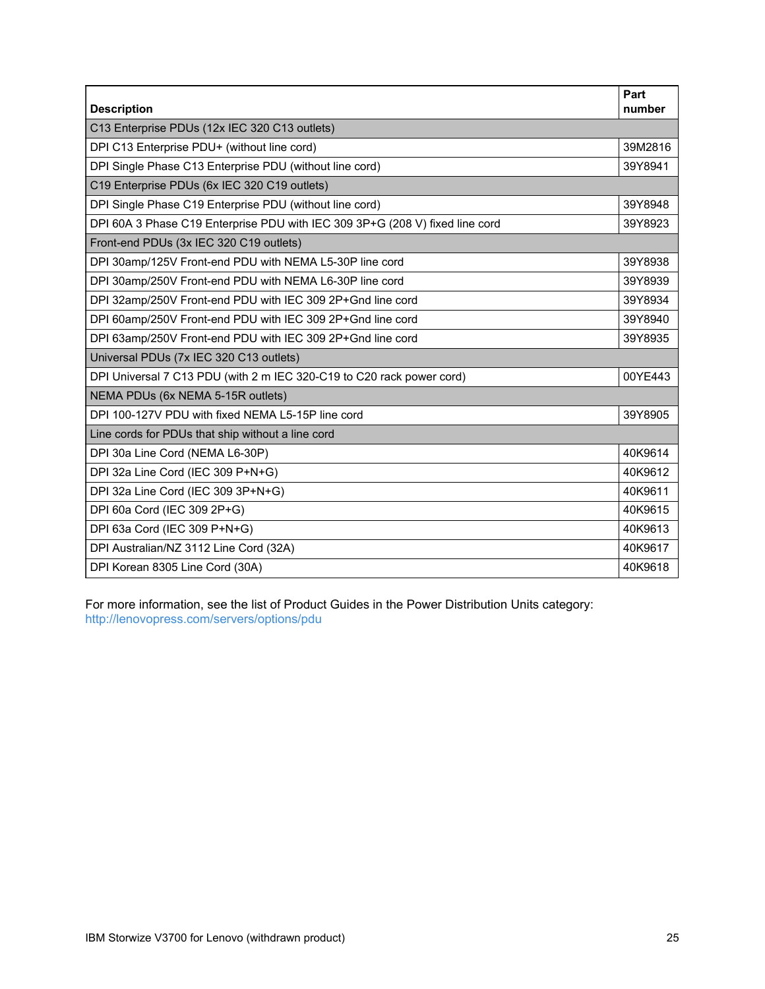| <b>Description</b>                                                           | Part<br>number |
|------------------------------------------------------------------------------|----------------|
| C13 Enterprise PDUs (12x IEC 320 C13 outlets)                                |                |
| DPI C13 Enterprise PDU+ (without line cord)                                  | 39M2816        |
| DPI Single Phase C13 Enterprise PDU (without line cord)                      | 39Y8941        |
| C19 Enterprise PDUs (6x IEC 320 C19 outlets)                                 |                |
| DPI Single Phase C19 Enterprise PDU (without line cord)                      | 39Y8948        |
| DPI 60A 3 Phase C19 Enterprise PDU with IEC 309 3P+G (208 V) fixed line cord | 39Y8923        |
| Front-end PDUs (3x IEC 320 C19 outlets)                                      |                |
| DPI 30amp/125V Front-end PDU with NEMA L5-30P line cord                      | 39Y8938        |
| DPI 30amp/250V Front-end PDU with NEMA L6-30P line cord                      | 39Y8939        |
| DPI 32amp/250V Front-end PDU with IEC 309 2P+Gnd line cord                   | 39Y8934        |
| DPI 60amp/250V Front-end PDU with IEC 309 2P+Gnd line cord                   | 39Y8940        |
| DPI 63amp/250V Front-end PDU with IEC 309 2P+Gnd line cord                   | 39Y8935        |
| Universal PDUs (7x IEC 320 C13 outlets)                                      |                |
| DPI Universal 7 C13 PDU (with 2 m IEC 320-C19 to C20 rack power cord)        | 00YE443        |
| NEMA PDUs (6x NEMA 5-15R outlets)                                            |                |
| DPI 100-127V PDU with fixed NEMA L5-15P line cord                            | 39Y8905        |
| Line cords for PDUs that ship without a line cord                            |                |
| DPI 30a Line Cord (NEMA L6-30P)                                              | 40K9614        |
| DPI 32a Line Cord (IEC 309 P+N+G)                                            | 40K9612        |
| DPI 32a Line Cord (IEC 309 3P+N+G)                                           | 40K9611        |
| DPI 60a Cord (IEC 309 2P+G)                                                  | 40K9615        |
| DPI 63a Cord (IEC 309 P+N+G)                                                 | 40K9613        |
| DPI Australian/NZ 3112 Line Cord (32A)                                       | 40K9617        |
| DPI Korean 8305 Line Cord (30A)                                              | 40K9618        |

For more information, see the list of Product Guides in the Power Distribution Units category: <http://lenovopress.com/servers/options/pdu>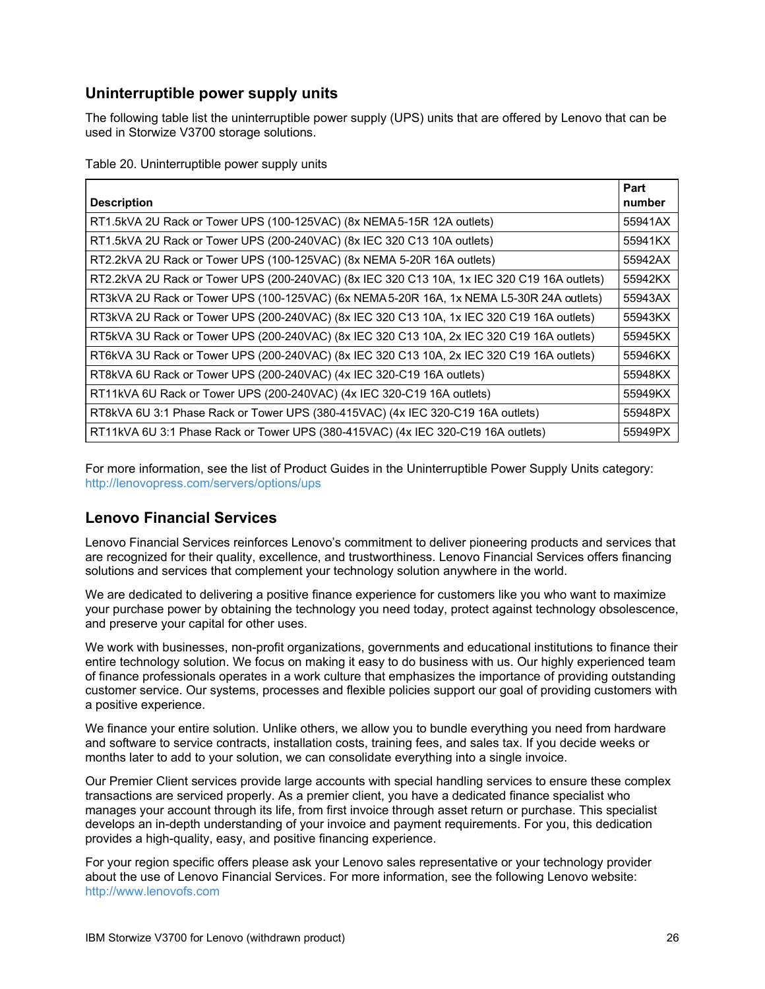## **Uninterruptible power supply units**

The following table list the uninterruptible power supply (UPS) units that are offered by Lenovo that can be used in Storwize V3700 storage solutions.

Table 20. Uninterruptible power supply units

| <b>Description</b>                                                                          | Part<br>number |
|---------------------------------------------------------------------------------------------|----------------|
| RT1.5kVA 2U Rack or Tower UPS (100-125VAC) (8x NEMA 5-15R 12A outlets)                      | 55941AX        |
| RT1.5kVA 2U Rack or Tower UPS (200-240VAC) (8x IEC 320 C13 10A outlets)                     | 55941KX        |
| RT2.2kVA 2U Rack or Tower UPS (100-125VAC) (8x NEMA 5-20R 16A outlets)                      | 55942AX        |
| RT2.2kVA 2U Rack or Tower UPS (200-240VAC) (8x IEC 320 C13 10A, 1x IEC 320 C19 16A outlets) | 55942KX        |
| RT3kVA 2U Rack or Tower UPS (100-125VAC) (6x NEMA 5-20R 16A, 1x NEMA L5-30R 24A outlets)    | 55943AX        |
| RT3kVA 2U Rack or Tower UPS (200-240VAC) (8x IEC 320 C13 10A, 1x IEC 320 C19 16A outlets)   | 55943KX        |
| RT5kVA 3U Rack or Tower UPS (200-240VAC) (8x IEC 320 C13 10A, 2x IEC 320 C19 16A outlets)   | 55945KX        |
| RT6kVA 3U Rack or Tower UPS (200-240VAC) (8x IEC 320 C13 10A, 2x IEC 320 C19 16A outlets)   | 55946KX        |
| RT8kVA 6U Rack or Tower UPS (200-240VAC) (4x IEC 320-C19 16A outlets)                       | 55948KX        |
| RT11kVA 6U Rack or Tower UPS (200-240VAC) (4x IEC 320-C19 16A outlets)                      | 55949KX        |
| RT8kVA 6U 3:1 Phase Rack or Tower UPS (380-415VAC) (4x IEC 320-C19 16A outlets)             | 55948PX        |
| RT11kVA 6U 3:1 Phase Rack or Tower UPS (380-415VAC) (4x IEC 320-C19 16A outlets)            | 55949PX        |

For more information, see the list of Product Guides in the Uninterruptible Power Supply Units category: <http://lenovopress.com/servers/options/ups>

### **Lenovo Financial Services**

Lenovo Financial Services reinforces Lenovo's commitment to deliver pioneering products and services that are recognized for their quality, excellence, and trustworthiness. Lenovo Financial Services offers financing solutions and services that complement your technology solution anywhere in the world.

We are dedicated to delivering a positive finance experience for customers like you who want to maximize your purchase power by obtaining the technology you need today, protect against technology obsolescence, and preserve your capital for other uses.

We work with businesses, non-profit organizations, governments and educational institutions to finance their entire technology solution. We focus on making it easy to do business with us. Our highly experienced team of finance professionals operates in a work culture that emphasizes the importance of providing outstanding customer service. Our systems, processes and flexible policies support our goal of providing customers with a positive experience.

We finance your entire solution. Unlike others, we allow you to bundle everything you need from hardware and software to service contracts, installation costs, training fees, and sales tax. If you decide weeks or months later to add to your solution, we can consolidate everything into a single invoice.

Our Premier Client services provide large accounts with special handling services to ensure these complex transactions are serviced properly. As a premier client, you have a dedicated finance specialist who manages your account through its life, from first invoice through asset return or purchase. This specialist develops an in-depth understanding of your invoice and payment requirements. For you, this dedication provides a high-quality, easy, and positive financing experience.

For your region specific offers please ask your Lenovo sales representative or your technology provider about the use of Lenovo Financial Services. For more information, see the following Lenovo website: <http://www.lenovofs.com>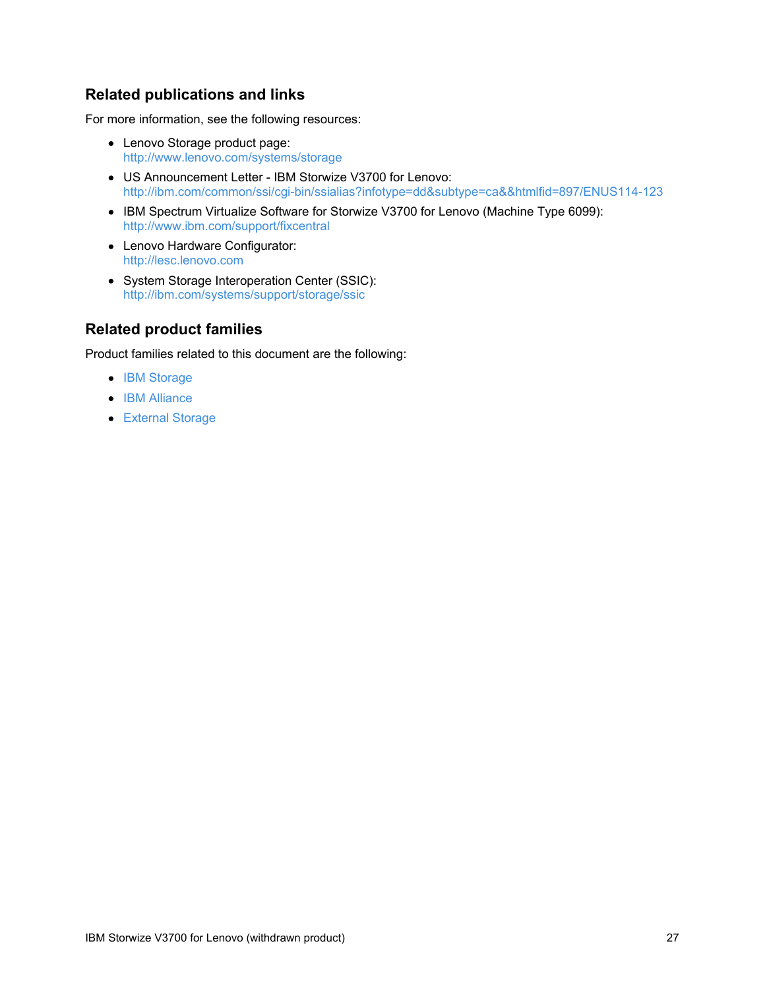### **Related publications and links**

For more information, see the following resources:

- Lenovo Storage product page: <http://www.lenovo.com/systems/storage>
- US Announcement Letter IBM Storwize V3700 for Lenovo: <http://ibm.com/common/ssi/cgi-bin/ssialias?infotype=dd&subtype=ca&&htmlfid=897/ENUS114-123>
- IBM Spectrum Virtualize Software for Storwize V3700 for Lenovo (Machine Type 6099): <http://www.ibm.com/support/fixcentral>
- Lenovo Hardware Configurator: <http://lesc.lenovo.com>
- System Storage Interoperation Center (SSIC): <http://ibm.com/systems/support/storage/ssic>

### **Related product families**

Product families related to this document are the following:

- IBM [Storage](https://lenovopress.com/storage/san/ibm)
- IBM [Alliance](https://lenovopress.com/software/alliances/ibm)
- [External](https://lenovopress.com/servers/options/external-storage) Storage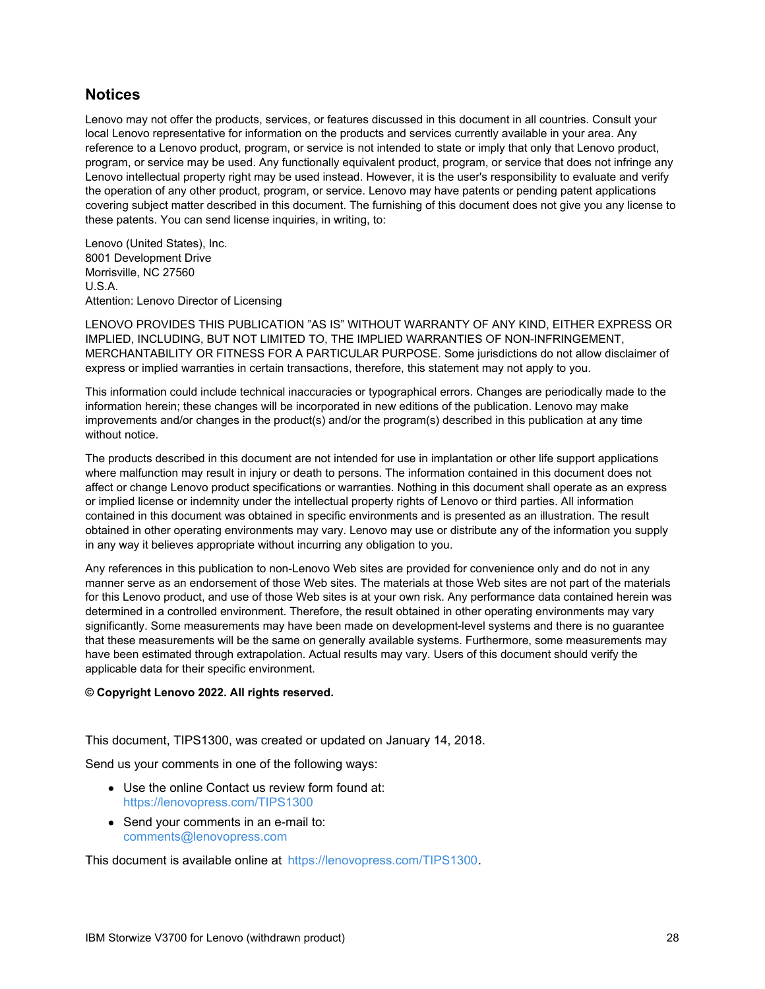### **Notices**

Lenovo may not offer the products, services, or features discussed in this document in all countries. Consult your local Lenovo representative for information on the products and services currently available in your area. Any reference to a Lenovo product, program, or service is not intended to state or imply that only that Lenovo product, program, or service may be used. Any functionally equivalent product, program, or service that does not infringe any Lenovo intellectual property right may be used instead. However, it is the user's responsibility to evaluate and verify the operation of any other product, program, or service. Lenovo may have patents or pending patent applications covering subject matter described in this document. The furnishing of this document does not give you any license to these patents. You can send license inquiries, in writing, to:

Lenovo (United States), Inc. 8001 Development Drive Morrisville, NC 27560 U.S.A. Attention: Lenovo Director of Licensing

LENOVO PROVIDES THIS PUBLICATION "AS IS" WITHOUT WARRANTY OF ANY KIND, EITHER EXPRESS OR IMPLIED, INCLUDING, BUT NOT LIMITED TO, THE IMPLIED WARRANTIES OF NON-INFRINGEMENT, MERCHANTABILITY OR FITNESS FOR A PARTICULAR PURPOSE. Some jurisdictions do not allow disclaimer of express or implied warranties in certain transactions, therefore, this statement may not apply to you.

This information could include technical inaccuracies or typographical errors. Changes are periodically made to the information herein; these changes will be incorporated in new editions of the publication. Lenovo may make improvements and/or changes in the product(s) and/or the program(s) described in this publication at any time without notice.

The products described in this document are not intended for use in implantation or other life support applications where malfunction may result in injury or death to persons. The information contained in this document does not affect or change Lenovo product specifications or warranties. Nothing in this document shall operate as an express or implied license or indemnity under the intellectual property rights of Lenovo or third parties. All information contained in this document was obtained in specific environments and is presented as an illustration. The result obtained in other operating environments may vary. Lenovo may use or distribute any of the information you supply in any way it believes appropriate without incurring any obligation to you.

Any references in this publication to non-Lenovo Web sites are provided for convenience only and do not in any manner serve as an endorsement of those Web sites. The materials at those Web sites are not part of the materials for this Lenovo product, and use of those Web sites is at your own risk. Any performance data contained herein was determined in a controlled environment. Therefore, the result obtained in other operating environments may vary significantly. Some measurements may have been made on development-level systems and there is no guarantee that these measurements will be the same on generally available systems. Furthermore, some measurements may have been estimated through extrapolation. Actual results may vary. Users of this document should verify the applicable data for their specific environment.

#### **© Copyright Lenovo 2022. All rights reserved.**

This document, TIPS1300, was created or updated on January 14, 2018.

Send us your comments in one of the following ways:

- Use the online Contact us review form found at: <https://lenovopress.com/TIPS1300>
- Send your comments in an e-mail to: [comments@lenovopress.com](mailto:comments@lenovopress.com?subject=Feedback for TIPS1300)

This document is available online at <https://lenovopress.com/TIPS1300>.